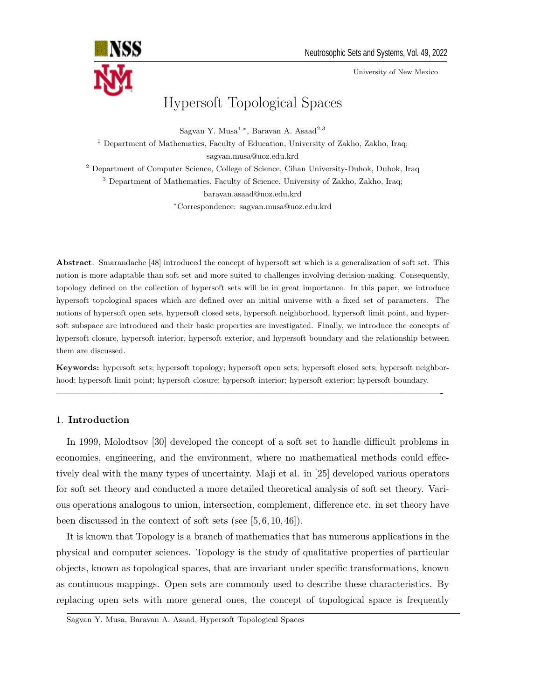

University of New Mexico

# Hypersoft Topological Spaces

Sagvan Y. Musa<sup>1,\*</sup>, Baravan A. Asaad<sup>2,3</sup>

<sup>1</sup> Department of Mathematics, Faculty of Education, University of Zakho, Zakho, Iraq; sagvan.musa@uoz.edu.krd <sup>2</sup> Department of Computer Science, College of Science, Cihan University-Duhok, Duhok, Iraq <sup>3</sup> Department of Mathematics, Faculty of Science, University of Zakho, Zakho, Iraq; baravan.asaad@uoz.edu.krd <sup>∗</sup>Correspondence: sagvan.musa@uoz.edu.krd

Abstract. Smarandache [48] introduced the concept of hypersoft set which is a generalization of soft set. This notion is more adaptable than soft set and more suited to challenges involving decision-making. Consequently, topology defined on the collection of hypersoft sets will be in great importance. In this paper, we introduce hypersoft topological spaces which are defined over an initial universe with a fixed set of parameters. The notions of hypersoft open sets, hypersoft closed sets, hypersoft neighborhood, hypersoft limit point, and hypersoft subspace are introduced and their basic properties are investigated. Finally, we introduce the concepts of hypersoft closure, hypersoft interior, hypersoft exterior, and hypersoft boundary and the relationship between them are discussed.

Keywords: hypersoft sets; hypersoft topology; hypersoft open sets; hypersoft closed sets; hypersoft neighborhood; hypersoft limit point; hypersoft closure; hypersoft interior; hypersoft exterior; hypersoft boundary.

—————————————————————————————————————————-

## 1. Introduction

In 1999, Molodtsov [30] developed the concept of a soft set to handle difficult problems in economics, engineering, and the environment, where no mathematical methods could effectively deal with the many types of uncertainty. Maji et al. in [25] developed various operators for soft set theory and conducted a more detailed theoretical analysis of soft set theory. Various operations analogous to union, intersection, complement, difference etc. in set theory have been discussed in the context of soft sets (see [5, 6, 10, 46]).

It is known that Topology is a branch of mathematics that has numerous applications in the physical and computer sciences. Topology is the study of qualitative properties of particular objects, known as topological spaces, that are invariant under specific transformations, known as continuous mappings. Open sets are commonly used to describe these characteristics. By replacing open sets with more general ones, the concept of topological space is frequently

Sagvan Y. Musa, Baravan A. Asaad, Hypersoft Topological Spaces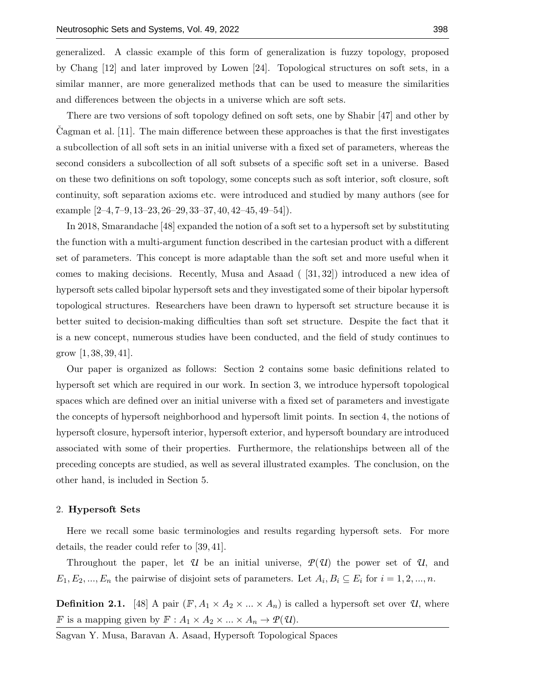generalized. A classic example of this form of generalization is fuzzy topology, proposed by Chang [12] and later improved by Lowen [24]. Topological structures on soft sets, in a similar manner, are more generalized methods that can be used to measure the similarities and differences between the objects in a universe which are soft sets.

There are two versions of soft topology defined on soft sets, one by Shabir [47] and other by Cagman et al.  $[11]$ . The main difference between these approaches is that the first investigates a subcollection of all soft sets in an initial universe with a fixed set of parameters, whereas the second considers a subcollection of all soft subsets of a specific soft set in a universe. Based on these two definitions on soft topology, some concepts such as soft interior, soft closure, soft continuity, soft separation axioms etc. were introduced and studied by many authors (see for example [2–4, 7–9, 13–23, 26–29, 33–37, 40, 42–45, 49–54]).

In 2018, Smarandache [48] expanded the notion of a soft set to a hypersoft set by substituting the function with a multi-argument function described in the cartesian product with a different set of parameters. This concept is more adaptable than the soft set and more useful when it comes to making decisions. Recently, Musa and Asaad ( [31, 32]) introduced a new idea of hypersoft sets called bipolar hypersoft sets and they investigated some of their bipolar hypersoft topological structures. Researchers have been drawn to hypersoft set structure because it is better suited to decision-making difficulties than soft set structure. Despite the fact that it is a new concept, numerous studies have been conducted, and the field of study continues to grow  $[1, 38, 39, 41]$ .

Our paper is organized as follows: Section 2 contains some basic definitions related to hypersoft set which are required in our work. In section 3, we introduce hypersoft topological spaces which are defined over an initial universe with a fixed set of parameters and investigate the concepts of hypersoft neighborhood and hypersoft limit points. In section 4, the notions of hypersoft closure, hypersoft interior, hypersoft exterior, and hypersoft boundary are introduced associated with some of their properties. Furthermore, the relationships between all of the preceding concepts are studied, as well as several illustrated examples. The conclusion, on the other hand, is included in Section 5.

#### 2. Hypersoft Sets

Here we recall some basic terminologies and results regarding hypersoft sets. For more details, the reader could refer to [39, 41].

Throughout the paper, let *U* be an initial universe, *P*(*U*) the power set of *U*, and  $E_1, E_2, ..., E_n$  the pairwise of disjoint sets of parameters. Let  $A_i, B_i \subseteq E_i$  for  $i = 1, 2, ..., n$ .

**Definition 2.1.** [48] A pair  $(F, A_1 \times A_2 \times ... \times A_n)$  is called a hypersoft set over *U*, where F is a mapping given by  $F: A_1 \times A_2 \times ... \times A_n \to P(\mathcal{U})$ .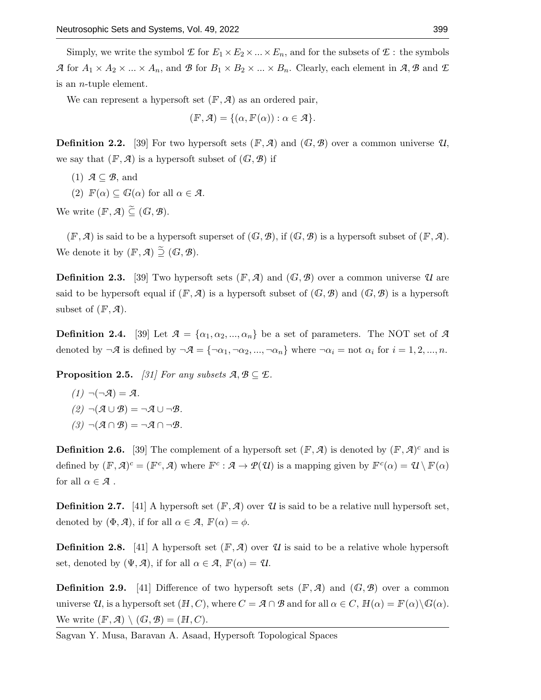Simply, we write the symbol  $E$  for  $E_1 \times E_2 \times ... \times E_n$ , and for the subsets of  $E$ : the symbols  $\mathcal{A}$  for  $A_1 \times A_2 \times ... \times A_n$ , and  $\mathcal{B}$  for  $B_1 \times B_2 \times ... \times B_n$ . Clearly, each element in  $\mathcal{A}, \mathcal{B}$  and  $\mathcal{E}$ is an n-tuple element.

We can represent a hypersoft set  $(F, \mathcal{A})$  as an ordered pair,

$$
(\mathbb{F}, \mathcal{A}) = \{(\alpha, \mathbb{F}(\alpha)) : \alpha \in \mathcal{A}\}.
$$

**Definition 2.2.** [39] For two hypersoft sets  $(F, \mathcal{A})$  and  $(\mathcal{G}, \mathcal{B})$  over a common universe  $\mathcal{U}$ , we say that  $(F, \mathcal{A})$  is a hypersoft subset of  $(\mathcal{G}, \mathcal{B})$  if

- (1)  $\mathcal{A} \subseteq \mathcal{B}$ , and
- (2)  $\mathbb{F}(\alpha) \subseteq \mathbb{G}(\alpha)$  for all  $\alpha \in \mathcal{A}$ .

We write  $(F, \mathcal{A}) \overset{\sim}{\subset} (\mathcal{G}, \mathcal{B}).$ 

 $(F, \mathcal{A})$  is said to be a hypersoft superset of  $(G, \mathcal{B})$ , if  $(G, \mathcal{B})$  is a hypersoft subset of  $(F, \mathcal{A})$ . We denote it by  $(F, \mathcal{A}) \supseteq^{\sim} (G, \mathcal{B})$ .

**Definition 2.3.** [39] Two hypersoft sets  $(F, \mathcal{A})$  and  $(\mathcal{G}, \mathcal{B})$  over a common universe  $\mathcal{U}$  are said to be hypersoft equal if  $(F, \mathcal{A})$  is a hypersoft subset of  $(G, \mathcal{B})$  and  $(G, \mathcal{B})$  is a hypersoft subset of  $(F, \mathcal{A})$ .

**Definition 2.4.** [39] Let  $A = {\alpha_1, \alpha_2, ..., \alpha_n}$  be a set of parameters. The NOT set of A denoted by  $\neg \mathcal{A}$  is defined by  $\neg \mathcal{A} = {\neg \alpha_1, \neg \alpha_2, ..., \neg \alpha_n}$  where  $\neg \alpha_i = \text{not } \alpha_i$  for  $i = 1, 2, ..., n$ .

**Proposition 2.5.** [31] For any subsets  $A, B \subseteq E$ .

 $(1) \neg (\neg \mathcal{A}) = \mathcal{A}.$  $(2) \neg (A \cup B) = \neg A \cup \neg B$ .  $(3) \neg (A \cap B) = \neg A \cap \neg B$ .

**Definition 2.6.** [39] The complement of a hypersoft set  $(F, \mathcal{A})$  is denoted by  $(F, \mathcal{A})^c$  and is defined by  $(F, \mathcal{A})^c = (F^c, \mathcal{A})$  where  $F^c : \mathcal{A} \to \mathcal{P}(\mathcal{U})$  is a mapping given by  $F^c(\alpha) = \mathcal{U} \setminus F(\alpha)$ for all  $\alpha \in \mathcal{A}$ .

**Definition 2.7.** [41] A hypersoft set  $(F, \mathcal{A})$  over  $\mathcal{U}$  is said to be a relative null hypersoft set, denoted by  $(\Phi, \mathcal{A})$ , if for all  $\alpha \in \mathcal{A}$ ,  $\mathbb{F}(\alpha) = \phi$ .

**Definition 2.8.** [41] A hypersoft set  $(F, \mathcal{A})$  over *U* is said to be a relative whole hypersoft set, denoted by  $(\Psi, \mathcal{A})$ , if for all  $\alpha \in \mathcal{A}$ ,  $\mathbb{F}(\alpha) = \mathcal{U}$ .

**Definition 2.9.** [41] Difference of two hypersoft sets  $(F, \mathcal{A})$  and  $(G, \mathcal{B})$  over a common universe U, is a hypersoft set  $(H, C)$ , where  $C = \mathcal{A} \cap \mathcal{B}$  and for all  $\alpha \in C$ ,  $H(\alpha) = F(\alpha) \setminus G(\alpha)$ . We write  $(F, \mathcal{A}) \setminus (G, \mathcal{B}) = (H, C)$ .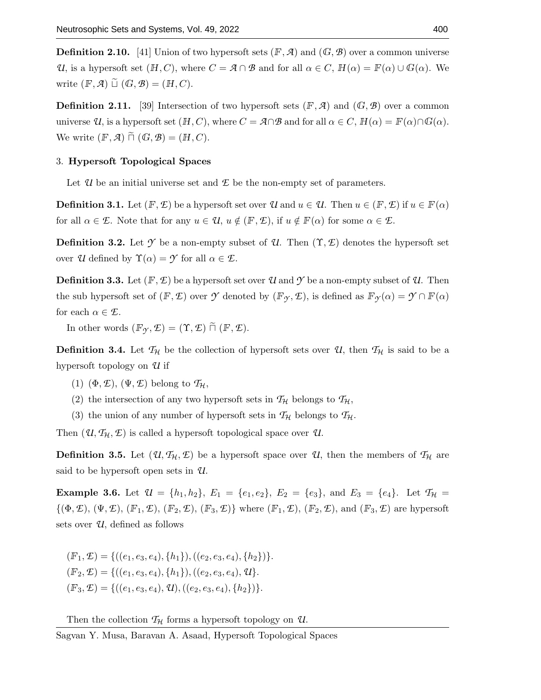**Definition 2.10.** [41] Union of two hypersoft sets  $(F, \mathcal{A})$  and  $(\mathcal{G}, \mathcal{B})$  over a common universe *U*, is a hypersoft set  $(H, C)$ , where  $C = \mathcal{A} \cap \mathcal{B}$  and for all  $\alpha \in C$ ,  $H(\alpha) = F(\alpha) \cup G(\alpha)$ . We write  $(F, \mathcal{A}) \sqcup (G, \mathcal{B}) = (H, C)$ .

**Definition 2.11.** [39] Intersection of two hypersoft sets  $(F, \mathcal{A})$  and  $(G, \mathcal{B})$  over a common universe U, is a hypersoft set  $(H, C)$ , where  $C = \mathcal{A} \cap \mathcal{B}$  and for all  $\alpha \in C$ ,  $H(\alpha) = F(\alpha) \cap G(\alpha)$ . We write  $(F, \mathcal{A}) \tilde{\sqcap} (G, \mathcal{B}) = (H, C).$ 

#### 3. Hypersoft Topological Spaces

Let *U* be an initial universe set and *E* be the non-empty set of parameters.

**Definition 3.1.** Let  $(F, \mathcal{L})$  be a hypersoft set over  $\mathcal{U}$  and  $u \in \mathcal{U}$ . Then  $u \in (F, \mathcal{L})$  if  $u \in F(\alpha)$ for all  $\alpha \in \mathcal{L}$ . Note that for any  $u \in \mathcal{U}$ ,  $u \notin (\mathbb{F}, \mathcal{L})$ , if  $u \notin \mathbb{F}(\alpha)$  for some  $\alpha \in \mathcal{L}$ .

**Definition 3.2.** Let  $\mathcal{Y}$  be a non-empty subset of  $\mathcal{U}$ . Then  $(\Upsilon, \mathcal{E})$  denotes the hypersoft set over *U* defined by  $\Upsilon(\alpha) = \mathcal{Y}$  for all  $\alpha \in \mathcal{E}$ .

**Definition 3.3.** Let  $(F, \mathcal{L})$  be a hypersoft set over  $\mathcal{U}$  and  $\mathcal{Y}$  be a non-empty subset of  $\mathcal{U}$ . Then the sub hypersoft set of  $(F, \mathcal{E})$  over  $\mathcal Y$  denoted by  $(F_{\gamma}, \mathcal{E})$ , is defined as  $\mathbb{F}_{\gamma}(\alpha) = \mathcal Y \cap \mathbb{F}(\alpha)$ for each  $\alpha \in \mathcal{L}$ .

In other words  $(F_{\gamma}, \mathcal{E}) = (\Upsilon, \mathcal{E}) \tilde{\sqcap} (F, \mathcal{E}).$ 

**Definition 3.4.** Let  $\mathcal{T}_{\mathcal{H}}$  be the collection of hypersoft sets over  $\mathcal{U}$ , then  $\mathcal{T}_{\mathcal{H}}$  is said to be a hypersoft topology on *U* if

- (1)  $(\Phi, \mathcal{L}), (\Psi, \mathcal{L})$  belong to  $\mathcal{T}_{\mathcal{H}},$
- (2) the intersection of any two hypersoft sets in  $\mathcal{T}_{\mathcal{H}}$  belongs to  $\mathcal{T}_{\mathcal{H}}$ ,
- (3) the union of any number of hypersoft sets in  $\mathcal{I}_{\mathcal{H}}$  belongs to  $\mathcal{I}_{\mathcal{H}}$ .

Then  $(\mathcal{U}, \mathcal{I}_{\mathcal{H}}, \mathcal{E})$  is called a hypersoft topological space over  $\mathcal{U}$ .

**Definition 3.5.** Let  $(\mathcal{U}, \mathcal{T}_{\mathcal{H}}, \mathcal{E})$  be a hypersoft space over  $\mathcal{U}$ , then the members of  $\mathcal{T}_{\mathcal{H}}$  are said to be hypersoft open sets in *U*.

**Example 3.6.** Let  $\mathcal{U} = \{h_1, h_2\}$ ,  $E_1 = \{e_1, e_2\}$ ,  $E_2 = \{e_3\}$ , and  $E_3 = \{e_4\}$ . Let  $\mathcal{T}_{\mathcal{H}} =$  $\{(\Phi, \mathcal{L}), (\Psi, \mathcal{L}), (\mathbb{F}_1, \mathcal{L}), (\mathbb{F}_2, \mathcal{L}), (\mathbb{F}_3, \mathcal{L})\}$  where  $(\mathbb{F}_1, \mathcal{L}), (\mathbb{F}_2, \mathcal{L}),$  and  $(\mathbb{F}_3, \mathcal{L})$  are hypersoft sets over *U*, defined as follows

 $(F_1, \mathcal{E}) = \{((e_1, e_3, e_4), \{h_1\}), ((e_2, e_3, e_4), \{h_2\})\}.$  $(F_2, \mathcal{E}) = \{((e_1, e_3, e_4), \{h_1\}), ((e_2, e_3, e_4), \mathcal{U}\}.$  $(F_3, \mathcal{L}) = \{((e_1, e_3, e_4), \mathcal{U}), ((e_2, e_3, e_4), \{h_2\})\}.$ 

Then the collection  $\mathcal{T}_{\mathcal{H}}$  forms a hypersoft topology on  $\mathcal{U}$ .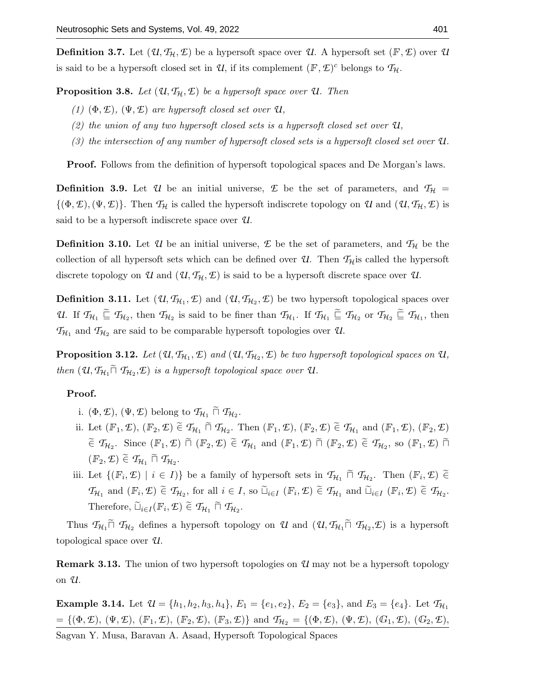**Definition 3.7.** Let  $(\mathcal{U}, \mathcal{T}_H, \mathcal{E})$  be a hypersoft space over  $\mathcal{U}$ . A hypersoft set  $(\mathbb{F}, \mathcal{E})$  over  $\mathcal{U}$ is said to be a hypersoft closed set in  $\mathcal{U}$ , if its complement  $(\mathbb{F}, \mathcal{L})^c$  belongs to  $\mathcal{I}_{\mathcal{H}}$ .

**Proposition 3.8.** Let  $(\mathcal{U}, \mathcal{T}_{\mathcal{H}}, \mathcal{E})$  be a hypersoft space over  $\mathcal{U}$ . Then

- (1)  $(\Phi, \mathcal{L})$ ,  $(\Psi, \mathcal{L})$  are hypersoft closed set over  $\mathcal{U}$ ,
- (2) the union of any two hypersoft closed sets is a hypersoft closed set over *U*,
- (3) the intersection of any number of hypersoft closed sets is a hypersoft closed set over *U*.

Proof. Follows from the definition of hypersoft topological spaces and De Morgan's laws.

**Definition 3.9.** Let *U* be an initial universe, *E* be the set of parameters, and  $T_H$  =  $\{(\Phi, \mathcal{L}), (\Psi, \mathcal{L})\}.$  Then  $\mathcal{I}_{\mathcal{H}}$  is called the hypersoft indiscrete topology on *U* and  $(\mathcal{U}, \mathcal{I}_{\mathcal{H}}, \mathcal{L})$  is said to be a hypersoft indiscrete space over *U*.

**Definition 3.10.** Let *U* be an initial universe, *E* be the set of parameters, and  $T_H$  be the collection of all hypersoft sets which can be defined over  $\mathcal{U}$ . Then  $\mathcal{T}_{\mathcal{H}}$  is called the hypersoft discrete topology on *U* and  $(\mathcal{U}, \mathcal{T}_H, \mathcal{E})$  is said to be a hypersoft discrete space over *U*.

**Definition 3.11.** Let  $(\mathcal{U}, \mathcal{T}_{\mathcal{H}_1}, \mathcal{L})$  and  $(\mathcal{U}, \mathcal{T}_{\mathcal{H}_2}, \mathcal{L})$  be two hypersoft topological spaces over *U*. If  $\mathcal{T}_{H_1} \subseteq \mathcal{T}_{H_2}$ , then  $\mathcal{T}_{H_2}$  is said to be finer than  $\mathcal{T}_{H_1}$ . If  $\mathcal{T}_{H_1} \subseteq \mathcal{T}_{H_2}$  or  $\mathcal{T}_{H_2} \subseteq \mathcal{T}_{H_1}$ , then  $\mathcal{T}_{H_1}$  and  $\mathcal{T}_{H_2}$  are said to be comparable hypersoft topologies over *U*.

**Proposition 3.12.** Let  $(\mathcal{U}, \mathcal{T}_{\mathcal{H}_1}, \mathcal{E})$  and  $(\mathcal{U}, \mathcal{T}_{\mathcal{H}_2}, \mathcal{E})$  be two hypersoft topological spaces on  $\mathcal{U},$ then  $(\mathcal{U}, \mathcal{T}_{\mathcal{H}_1} \cap \mathcal{T}_{\mathcal{H}_2}, \mathcal{E})$  is a hypersoft topological space over  $\mathcal{U}$ .

#### Proof.

- i.  $(\Phi, \mathcal{L}), (\Psi, \mathcal{L})$  belong to  $\mathcal{T}_{\mathcal{H}_1} \cap \mathcal{T}_{\mathcal{H}_2}$ .
- ii. Let  $(F_1, \mathcal{E}), (F_2, \mathcal{E}) \in \mathcal{T}_{\mathcal{H}_1} \cap \mathcal{T}_{\mathcal{H}_2}$ . Then  $(F_1, \mathcal{E}), (F_2, \mathcal{E}) \in \mathcal{T}_{\mathcal{H}_1}$  and  $(F_1, \mathcal{E}), (F_2, \mathcal{E})$  $\widetilde{\in}$   $\mathcal{T}_{\mathcal{H}_2}$ . Since  $(F_1, \mathcal{E}) \cap (F_2, \mathcal{E}) \widetilde{\in} \mathcal{T}_{\mathcal{H}_1}$  and  $(F_1, \mathcal{E}) \cap (F_2, \mathcal{E}) \widetilde{\in} \mathcal{T}_{\mathcal{H}_2}$ , so  $(F_1, \mathcal{E}) \cap$  $(F_2, \mathcal{E}) \tilde{\in} \mathcal{T}_{\mathcal{H}_1} \tilde{\sqcap} \mathcal{T}_{\mathcal{H}_2}.$
- iii. Let  $\{(\mathbb{F}_i, \mathcal{E}) \mid i \in I\}$  be a family of hypersoft sets in  $\mathcal{T}_{\mathcal{H}_1} \cap \mathcal{T}_{\mathcal{H}_2}$ . Then  $(\mathbb{F}_i, \mathcal{E}) \in$  $\mathcal{T}_{\mathcal{H}_1}$  and  $(F_i, \mathcal{E}) \in \mathcal{T}_{\mathcal{H}_2}$ , for all  $i \in I$ , so  $\tilde{\sqcup}_{i \in I} (F_i, \mathcal{E}) \in \mathcal{T}_{\mathcal{H}_1}$  and  $\tilde{\sqcup}_{i \in I} (F_i, \mathcal{E}) \in \mathcal{T}_{\mathcal{H}_2}$ . Therefore,  $\tilde{\sqcup}_{i\in I}(\mathbb{F}_i,\mathcal{E}) \tilde{\in} \mathcal{T}_{\mathcal{H}_1} \tilde{\sqcap} \mathcal{T}_{\mathcal{H}_2}$ .

Thus  $\mathcal{T}_{H_1} \cap \mathcal{T}_{H_2}$  defines a hypersoft topology on *U* and  $(\mathcal{U}, \mathcal{T}_{H_1} \cap \mathcal{T}_{H_2}, \mathcal{E})$  is a hypersoft topological space over *U*.

Remark 3.13. The union of two hypersoft topologies on *U* may not be a hypersoft topology on *U*.

**Example 3.14.** Let  $\mathcal{U} = \{h_1, h_2, h_3, h_4\}, E_1 = \{e_1, e_2\}, E_2 = \{e_3\}, \text{ and } E_3 = \{e_4\}.$  Let  $\mathcal{T}_{\mathcal{H}_1}$  $= \{(\Phi, \mathcal{L}), (\Psi, \mathcal{L}), (\mathbb{F}_1, \mathcal{L}), (\mathbb{F}_2, \mathcal{L}), (\mathbb{F}_3, \mathcal{L})\}$  and  $\mathcal{T}_{\mathcal{H}_2} = \{(\Phi, \mathcal{L}), (\Psi, \mathcal{L}), (\mathbb{G}_1, \mathcal{L}), (\mathbb{G}_2, \mathcal{L}),$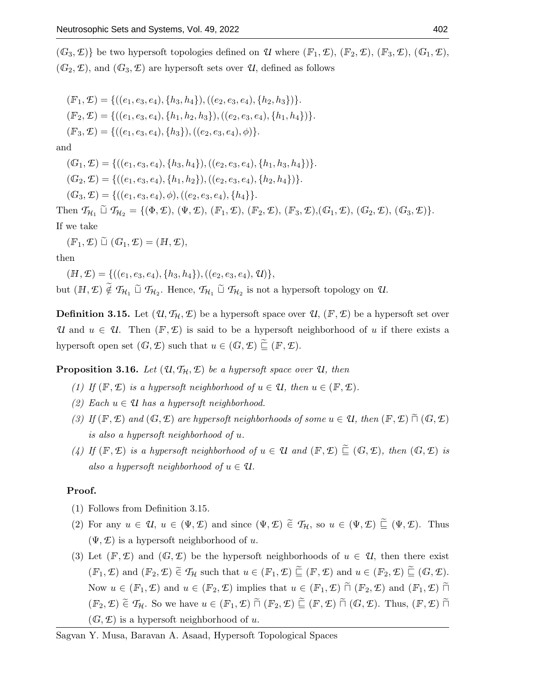$(G_3, \mathcal{E})$  be two hypersoft topologies defined on *U* where  $(F_1, \mathcal{E})$ ,  $(F_2, \mathcal{E})$ ,  $(F_3, \mathcal{E})$ ,  $(G_1, \mathcal{E})$ ,  $(G_2, \mathcal{L})$ , and  $(G_3, \mathcal{L})$  are hypersoft sets over  $\mathcal{U}$ , defined as follows

$$
(F_1, \mathcal{L}) = \{ ((e_1, e_3, e_4), \{h_3, h_4\}), ((e_2, e_3, e_4), \{h_2, h_3\}) \}.
$$
  
\n
$$
(F_2, \mathcal{L}) = \{ ((e_1, e_3, e_4), \{h_1, h_2, h_3\}), ((e_2, e_3, e_4), \{h_1, h_4\}) \}.
$$
  
\n
$$
(F_3, \mathcal{L}) = \{ ((e_1, e_3, e_4), \{h_3\}), ((e_2, e_3, e_4), \phi) \}.
$$

and

 $(G_1, \mathcal{E}) = \{((e_1, e_3, e_4), \{h_3, h_4\}), ((e_2, e_3, e_4), \{h_1, h_3, h_4\})\}.$  $(\mathbb{G}_2, \mathcal{F}) = \{((e_1, e_3, e_4), (h_1, h_2), ((e_2, e_3, e_4), (h_2, h_4))\}.$  $(G_3, \mathcal{E}) = \{((e_1, e_3, e_4), \phi), ((e_2, e_3, e_4), \{h_4\}\}.$ 

Then  $\mathcal{T}_{\mathcal{H}_1} \tilde{\sqcup} \mathcal{T}_{\mathcal{H}_2} = \{ (\Phi, \mathcal{E}), (\Psi, \mathcal{E}), (\mathbb{F}_1, \mathcal{E}), (\mathbb{F}_2, \mathcal{E}), (\mathbb{F}_3, \mathcal{E}), (\mathbb{G}_1, \mathcal{E}), (\mathbb{G}_2, \mathcal{E}), (\mathbb{G}_3, \mathcal{E}) \}.$ If we take

 $(F_1, \mathcal{L}) \tilde{\sqcup} (G_1, \mathcal{L}) = (H, \mathcal{L}),$ 

then

 $(H, \mathcal{L}) = \{((e_1, e_3, e_4), \{h_3, h_4\}), ((e_2, e_3, e_4), \mathcal{U})\},\$ but  $(H, \mathcal{E}) \nsubseteq \mathcal{T}_{\mathcal{H}_1} \nsubseteq \mathcal{T}_{\mathcal{H}_2}$ . Hence,  $\mathcal{T}_{\mathcal{H}_1} \nsubseteq \mathcal{T}_{\mathcal{H}_2}$  is not a hypersoft topology on  $\mathcal{U}$ .

**Definition 3.15.** Let  $(\mathcal{U}, \mathcal{T}_{\mathcal{H}}, \mathcal{L})$  be a hypersoft space over  $\mathcal{U}, (\mathbb{F}, \mathcal{L})$  be a hypersoft set over *U* and  $u \in U$ . Then  $(F, \mathcal{L})$  is said to be a hypersoft neighborhood of u if there exists a hypersoft open set  $(\mathcal{G}, \mathcal{E})$  such that  $u \in (\mathcal{G}, \mathcal{E}) \subseteq (F, \mathcal{E})$ .

**Proposition 3.16.** Let  $(\mathcal{U}, \mathcal{T}_{\mathcal{H}}, \mathcal{E})$  be a hypersoft space over  $\mathcal{U}$ , then

- (1) If  $(F, \mathcal{E})$  is a hypersoft neighborhood of  $u \in \mathcal{U}$ , then  $u \in (F, \mathcal{E})$ .
- (2) Each  $u \in \mathcal{U}$  has a hypersoft neighborhood.
- (3) If  $(F, \mathcal{F})$  and  $(G, \mathcal{F})$  are hypersoft neighborhoods of some  $u \in \mathcal{U}$ , then  $(F, \mathcal{F}) \cap (\mathcal{G}, \mathcal{F})$ is also a hypersoft neighborhood of u.
- (4) If  $(F, \mathcal{E})$  is a hypersoft neighborhood of  $u \in \mathcal{U}$  and  $(F, \mathcal{E}) \subseteq (G, \mathcal{E})$ , then  $(G, \mathcal{E})$  is also a hypersoft neighborhood of  $u \in \mathcal{U}$ .

#### Proof.

- (1) Follows from Definition 3.15.
- (2) For any  $u \in \mathcal{U}$ ,  $u \in (\Psi, \mathcal{E})$  and since  $(\Psi, \mathcal{E}) \tilde{\in} \mathcal{T}_{\mathcal{H}}$ , so  $u \in (\Psi, \mathcal{E}) \tilde{\sqsubseteq} (\Psi, \mathcal{E})$ . Thus  $(\Psi, \mathcal{L})$  is a hypersoft neighborhood of u.
- (3) Let  $(F, \mathcal{E})$  and  $(G, \mathcal{E})$  be the hypersoft neighborhoods of  $u \in \mathcal{U}$ , then there exist  $(F_1, \mathcal{E})$  and  $(F_2, \mathcal{E}) \tilde{\in} \mathcal{T}_\mathcal{H}$  such that  $u \in (F_1, \mathcal{E}) \tilde{\sqsubseteq} (F, \mathcal{E})$  and  $u \in (F_2, \mathcal{E}) \tilde{\sqsubseteq} (G, \mathcal{E})$ . Now  $u \in (F_1, \mathcal{E})$  and  $u \in (F_2, \mathcal{E})$  implies that  $u \in (F_1, \mathcal{E})$   $\tilde{\cap}$   $(F_2, \mathcal{E})$  and  $(F_1, \mathcal{E})$   $\tilde{\cap}$  $(F_2, \mathcal{E}) \in \mathcal{T}_H$ . So we have  $u \in (F_1, \mathcal{E}) \cap (F_2, \mathcal{E}) \subseteq (F, \mathcal{E}) \cap (G, \mathcal{E})$ . Thus,  $(F, \mathcal{E}) \cap (F_1, \mathcal{E})$ .  $(\mathbb{G}, \mathcal{L})$  is a hypersoft neighborhood of u.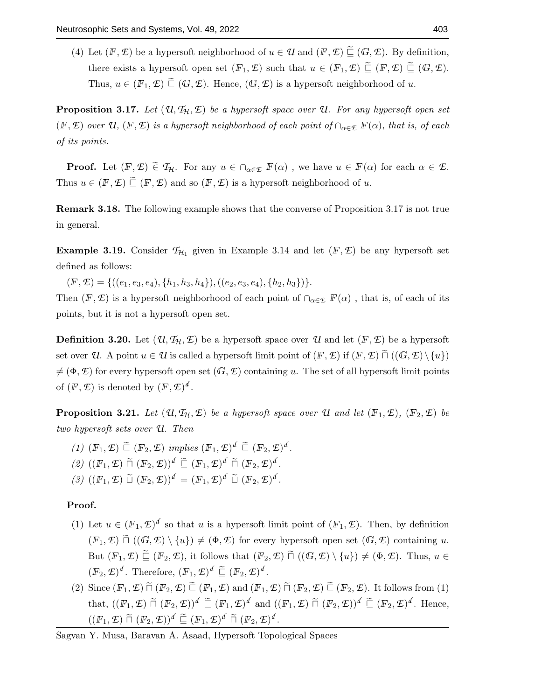(4) Let  $(F, \mathcal{E})$  be a hypersoft neighborhood of  $u \in \mathcal{U}$  and  $(F, \mathcal{E}) \subseteq (G, \mathcal{E})$ . By definition, there exists a hypersoft open set  $(F_1, \mathcal{E})$  such that  $u \in (F_1, \mathcal{E}) \subseteq (F, \mathcal{E}) \subseteq (G, \mathcal{E})$ . Thus,  $u \in (F_1, \mathcal{L}) \subseteq (\mathcal{G}, \mathcal{L})$ . Hence,  $(\mathcal{G}, \mathcal{L})$  is a hypersoft neighborhood of u.

**Proposition 3.17.** Let  $(\mathcal{U}, \mathcal{T}_H, \mathcal{E})$  be a hypersoft space over  $\mathcal{U}$ . For any hypersoft open set  $(F, \mathcal{E})$  over  $\mathcal{U}, (F, \mathcal{E})$  is a hypersoft neighborhood of each point of  $\cap_{\alpha \in \mathcal{E}} F(\alpha)$ , that is, of each of its points.

**Proof.** Let  $(F, \mathcal{E}) \in \mathcal{T}_\mathcal{H}$ . For any  $u \in \bigcap_{\alpha \in \mathcal{E}} F(\alpha)$ , we have  $u \in F(\alpha)$  for each  $\alpha \in \mathcal{E}$ . Thus  $u \in (F, \mathcal{L}) \subseteq (F, \mathcal{L})$  and so  $(F, \mathcal{L})$  is a hypersoft neighborhood of u.

Remark 3.18. The following example shows that the converse of Proposition 3.17 is not true in general.

**Example 3.19.** Consider  $\mathcal{T}_{H_1}$  given in Example 3.14 and let  $(F, \mathcal{L})$  be any hypersoft set defined as follows:

 $(F, \mathcal{E}) = \{((e_1, e_3, e_4), \{h_1, h_3, h_4\}), ((e_2, e_3, e_4), \{h_2, h_3\})\}.$ 

Then  $(F, E)$  is a hypersoft neighborhood of each point of  $\cap_{\alpha \in \mathcal{E}} F(\alpha)$ , that is, of each of its points, but it is not a hypersoft open set.

**Definition 3.20.** Let  $(\mathcal{U}, \mathcal{T}_{\mathcal{H}}, \mathcal{L})$  be a hypersoft space over  $\mathcal{U}$  and let  $(\mathbb{F}, \mathcal{L})$  be a hypersoft set over *U*. A point  $u \in U$  is called a hypersoft limit point of  $(F, \mathcal{E})$  if  $(F, \mathcal{E}) \cap ((\mathcal{G}, \mathcal{E}) \setminus \{u\})$  $\neq (\Phi, \mathcal{L})$  for every hypersoft open set  $(\mathcal{G}, \mathcal{L})$  containing u. The set of all hypersoft limit points of  $(F, \mathcal{L})$  is denoted by  $(F, \mathcal{L})^d$ .

**Proposition 3.21.** Let  $(\mathcal{U}, \mathcal{T}_{\mathcal{H}}, \mathcal{L})$  be a hypersoft space over  $\mathcal{U}$  and let  $(\mathbb{F}_1, \mathcal{L}), (\mathbb{F}_2, \mathcal{L})$  be two hypersoft sets over *U*. Then

- (1)  $(F_1, \mathcal{L}) \subseteq (F_2, \mathcal{L})$  implies  $(F_1, \mathcal{L})^d \subseteq (F_2, \mathcal{L})^d$ .
- $(2) ((\mathbb{F}_1, \mathcal{E}) \widetilde{\sqcap} (\mathbb{F}_2, \mathcal{E}))^d \subseteq (\mathbb{F}_1, \mathcal{E})^d \widetilde{\sqcap} (\mathbb{F}_2, \mathcal{E})^d.$
- $(3) ((\mathbb{F}_1, \mathcal{E}) \tilde{\sqcup} (\mathbb{F}_2, \mathcal{E}))^d = (\mathbb{F}_1, \mathcal{E})^d \tilde{\sqcup} (\mathbb{F}_2, \mathcal{E})^d.$

## Proof.

- (1) Let  $u \in (F_1, \mathcal{L})^d$  so that u is a hypersoft limit point of  $(F_1, \mathcal{L})$ . Then, by definition  $(F_1, \mathcal{E}) \cap ((\mathcal{G}, \mathcal{E}) \setminus \{u\}) \neq (\Phi, \mathcal{E})$  for every hypersoft open set  $(\mathcal{G}, \mathcal{E})$  containing u. But  $(F_1, \mathcal{E}) \subseteq (F_2, \mathcal{E})$ , it follows that  $(F_2, \mathcal{E}) \cap ((G, \mathcal{E}) \setminus \{u\}) \neq (\Phi, \mathcal{E})$ . Thus,  $u \in$  $(F_2, \mathcal{E})^d$ . Therefore,  $(F_1, \mathcal{E})^d \subseteq (F_2, \mathcal{E})^d$ .
- (2) Since  $(F_1, \mathcal{E}) \widetilde{\sqcap} (F_2, \mathcal{E}) \widetilde{\sqsubseteq} (F_1, \mathcal{E})$  and  $(F_1, \mathcal{E}) \widetilde{\sqcap} (F_2, \mathcal{E}) \widetilde{\sqsubseteq} (F_2, \mathcal{E})$ . It follows from (1) that,  $((\mathbb{F}_1, \mathcal{E}) \widetilde{\sqcap} (\mathbb{F}_2, \mathcal{E}))^d \subseteq (\mathbb{F}_1, \mathcal{E})^d$  and  $((\mathbb{F}_1, \mathcal{E}) \widetilde{\sqcap} (\mathbb{F}_2, \mathcal{E}))^d \subseteq (\mathbb{F}_2, \mathcal{E})^d$ . Hence,  $((\mathbb{F}_1, \mathcal{L}) \widetilde{\sqcap} (\mathbb{F}_2, \mathcal{L}))^d \subseteq (\mathbb{F}_1, \mathcal{L})^d \widetilde{\sqcap} (\mathbb{F}_2, \mathcal{L})^d.$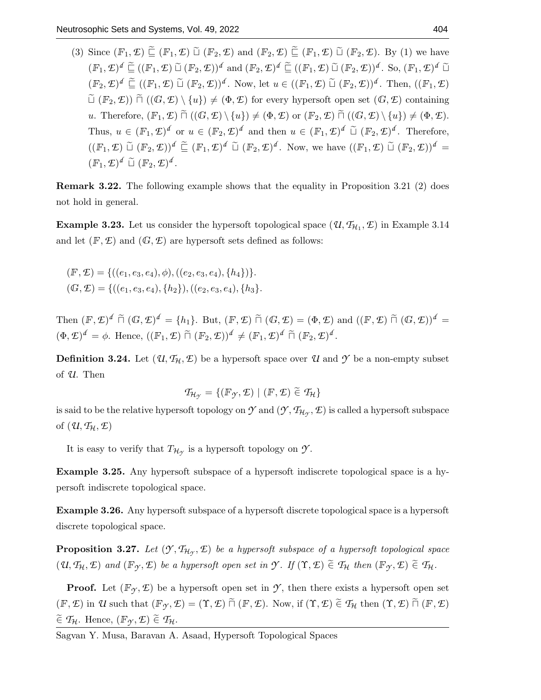(3) Since  $(F_1, \mathcal{E}) \subseteq (F_1, \mathcal{E}) \sqcup (F_2, \mathcal{E})$  and  $(F_2, \mathcal{E}) \subseteq (F_1, \mathcal{E}) \sqcup (F_2, \mathcal{E})$ . By (1) we have  $(F_1, \mathcal{L})^d \subseteq ((F_1, \mathcal{L}) \sqcup (F_2, \mathcal{L}))^d$  and  $(F_2, \mathcal{L})^d \subseteq ((F_1, \mathcal{L}) \sqcup (F_2, \mathcal{L}))^d$ . So,  $(F_1, \mathcal{L})^d \sqcup$  $(F_2, \mathcal{L})^d \subseteq ((F_1, \mathcal{L}) \sqcup (F_2, \mathcal{L}))^d$ . Now, let  $u \in ((F_1, \mathcal{L}) \sqcup (F_2, \mathcal{L}))^d$ . Then,  $((F_1, \mathcal{L})$  $\tilde{\Box}$  ( $\mathbb{F}_2$ , E))  $\tilde{\Box}$  (( $\mathbb{G}, \mathcal{L}$ )  $\setminus \{u\}$ )  $\neq$  ( $\Phi$ ,  $\mathcal{L}$ ) for every hypersoft open set ( $\mathbb{G}, \mathcal{L}$ ) containing u. Therefore,  $(F_1, \mathcal{L}) \cap ((\mathbb{G}, \mathcal{L}) \setminus \{u\}) \neq (\Phi, \mathcal{L})$  or  $(F_2, \mathcal{L}) \cap ((\mathbb{G}, \mathcal{L}) \setminus \{u\}) \neq (\Phi, \mathcal{L})$ . Thus,  $u \in (F_1, \mathcal{L})^d$  or  $u \in (F_2, \mathcal{L})^d$  and then  $u \in (F_1, \mathcal{L})^d$   $\Box$   $(F_2, \mathcal{L})^d$ . Therefore,  $((\mathbb{F}_1, \mathcal{E}) \sqcup (\mathbb{F}_2, \mathcal{E}))^d \subseteq (\mathbb{F}_1, \mathcal{E})^d \sqcup (\mathbb{F}_2, \mathcal{E})^d$ . Now, we have  $((\mathbb{F}_1, \mathcal{E}) \sqcup (\mathbb{F}_2, \mathcal{E}))^d =$  $(F_1, \mathcal{E})^d \widetilde{\sqcup} (F_2, \mathcal{E})^d.$ 

Remark 3.22. The following example shows that the equality in Proposition 3.21 (2) does not hold in general.

**Example 3.23.** Let us consider the hypersoft topological space  $(\mathcal{U}, \mathcal{T}_{\mathcal{H}_1}, \mathcal{E})$  in Example 3.14 and let  $(F, \mathcal{L})$  and  $(G, \mathcal{L})$  are hypersoft sets defined as follows:

$$
(F, \mathcal{L}) = \{ ((e_1, e_3, e_4), \phi), ((e_2, e_3, e_4), \{h_4\}) \}.
$$
  

$$
(G, \mathcal{L}) = \{ ((e_1, e_3, e_4), \{h_2\}), ((e_2, e_3, e_4), \{h_3\}).
$$

Then  $(F, \mathcal{L})^d \cap (G, \mathcal{L})^d = \{h_1\}$ . But,  $(F, \mathcal{L}) \cap (G, \mathcal{L}) = (\Phi, \mathcal{L})$  and  $((F, \mathcal{L}) \cap (G, \mathcal{L}))^d =$  $(\Phi, \mathcal{E})^d = \phi$ . Hence,  $((\mathbb{F}_1, \mathcal{E}) \widetilde{\sqcap} (\mathbb{F}_2, \mathcal{E}))^d \neq (\mathbb{F}_1, \mathcal{E})^d \widetilde{\sqcap} (\mathbb{F}_2, \mathcal{E})^d$ .

**Definition 3.24.** Let  $(\mathcal{U}, \mathcal{T}_{\mathcal{H}}, \mathcal{L})$  be a hypersoft space over  $\mathcal{U}$  and  $\mathcal{Y}$  be a non-empty subset of *U*. Then

$$
\mathcal{T}_{\mathcal{H}_{\mathcal{T}}} = \{ (\mathbb{F}_{\mathcal{T}}, \mathcal{E}) \mid (\mathbb{F}, \mathcal{E}) \in \mathcal{T}_{\mathcal{H}} \}
$$

is said to be the relative hypersoft topology on  $\mathcal Y$  and  $(\mathcal Y, \mathcal T_{\mathcal H_{\mathcal Y}}, \mathcal E)$  is called a hypersoft subspace of  $(\mathcal{U}, \mathcal{T}_{\mathcal{H}}, \mathcal{E})$ 

It is easy to verify that  $T_{\mathcal{H}_{\mathcal{Y}}}$  is a hypersoft topology on  $\mathcal{Y}$ .

Example 3.25. Any hypersoft subspace of a hypersoft indiscrete topological space is a hypersoft indiscrete topological space.

Example 3.26. Any hypersoft subspace of a hypersoft discrete topological space is a hypersoft discrete topological space.

**Proposition 3.27.** Let  $(\mathcal{Y}, \mathcal{T}_{\mathcal{H}_{\mathcal{Y}}}, \mathcal{E})$  be a hypersoft subspace of a hypersoft topological space  $(\mathcal{U}, \mathcal{T}_{\mathcal{H}}, \mathcal{E})$  and  $(\mathbb{F}_{\mathcal{Y}}, \mathcal{E})$  be a hypersoft open set in  $\mathcal{Y}$ . If  $(\Upsilon, \mathcal{E}) \in \mathcal{T}_{\mathcal{H}}$  then  $(\mathbb{F}_{\mathcal{Y}}, \mathcal{E}) \in \mathcal{T}_{\mathcal{H}}$ .

**Proof.** Let  $(\mathbb{F}_{\gamma}, \mathcal{E})$  be a hypersoft open set in  $\gamma$ , then there exists a hypersoft open set  $(F, \mathcal{E})$  in *U* such that  $(F_{\gamma}, \mathcal{E}) = (\Upsilon, \mathcal{E}) \widetilde{\sqcap} (F, \mathcal{E})$ . Now, if  $(\Upsilon, \mathcal{E}) \widetilde{\in} \mathcal{I}_{\mathcal{H}}$  then  $(\Upsilon, \mathcal{E}) \widetilde{\sqcap} (F, \mathcal{E})$  $\widetilde{\in}$   $\mathcal{T}_{\mathcal{H}}$ . Hence,  $(F_{\mathcal{T}}, \mathcal{E}) \widetilde{\in}$   $\mathcal{T}_{\mathcal{H}}$ .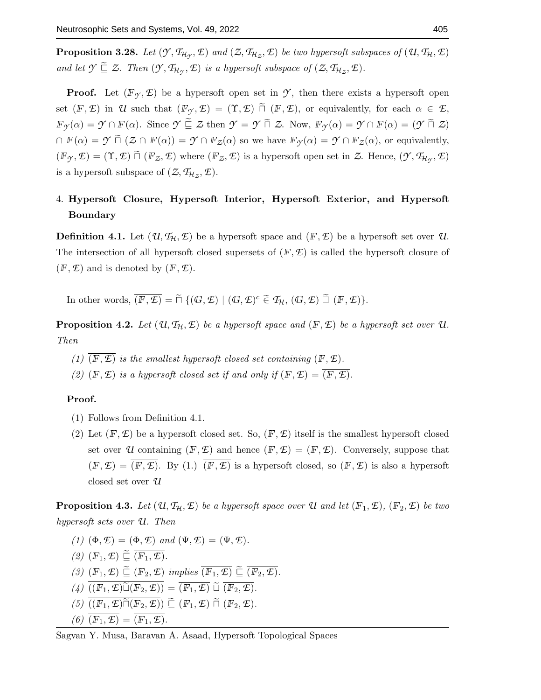Proposition 3.28. Let  $(\mathcal{Y}, \mathcal{T}_{\mathcal{H}_{\mathcal{Y}}}, \mathcal{E})$  and  $(\mathcal{Z}, \mathcal{T}_{\mathcal{H}_{\mathcal{Z}}}, \mathcal{E})$  be two hypersoft subspaces of  $(\mathcal{U}, \mathcal{T}_{\mathcal{H}}, \mathcal{E})$ and let  $\mathcal{Y} \subseteq \mathcal{Z}$ . Then  $(\mathcal{Y}, \mathcal{T}_{\mathcal{H}_{\mathcal{Y}}}, \mathcal{E})$  is a hypersoft subspace of  $(\mathcal{Z}, \mathcal{T}_{\mathcal{H}_{\mathcal{Z}}}, \mathcal{E})$ .

**Proof.** Let  $(F_\gamma, \mathcal{E})$  be a hypersoft open set in  $\gamma$ , then there exists a hypersoft open set  $(F, \mathcal{E})$  in *U* such that  $(F_{\gamma}, \mathcal{E}) = (\Upsilon, \mathcal{E}) \cap (F, \mathcal{E})$ , or equivalently, for each  $\alpha \in \mathcal{E}$ ,  $\mathbb{F}_{\gamma}(\alpha) = \mathcal{Y} \cap \mathbb{F}(\alpha)$ . Since  $\mathcal{Y} \subseteq \mathcal{Z}$  then  $\mathcal{Y} = \mathcal{Y} \cap \mathcal{Z}$ . Now,  $\mathbb{F}_{\gamma}(\alpha) = \mathcal{Y} \cap \mathbb{F}(\alpha) = (\mathcal{Y} \cap \mathcal{Z})$  $\cap$   $\mathbb{F}(\alpha) = \mathcal{Y} \cap (\mathcal{Z} \cap \mathbb{F}(\alpha)) = \mathcal{Y} \cap \mathbb{F}_z(\alpha)$  so we have  $\mathbb{F}_{\mathcal{Y}}(\alpha) = \mathcal{Y} \cap \mathbb{F}_z(\alpha)$ , or equivalently,  $(F_{\mathcal{F}}, \mathcal{E}) = (\Upsilon, \mathcal{E}) \cap (F_{\mathcal{Z}}, \mathcal{E})$  where  $(F_{\mathcal{Z}}, \mathcal{E})$  is a hypersoft open set in  $\mathcal{Z}$ . Hence,  $(\mathcal{Y}, \mathcal{T}_{\mathcal{H}_{\mathcal{Y}}}, \mathcal{E})$ is a hypersoft subspace of  $(Z, \mathcal{T}_{\mathcal{H}_Z}, \mathcal{E})$ .

# 4. Hypersoft Closure, Hypersoft Interior, Hypersoft Exterior, and Hypersoft Boundary

**Definition 4.1.** Let  $(\mathcal{U}, \mathcal{T}_{\mathcal{H}}, \mathcal{E})$  be a hypersoft space and  $(F, \mathcal{E})$  be a hypersoft set over  $\mathcal{U}$ . The intersection of all hypersoft closed supersets of  $(F, \mathcal{L})$  is called the hypersoft closure of  $(F, \mathcal{E})$  and is denoted by  $(F, \mathcal{E})$ .

In other words,  $\overline{(F, \mathcal{E})} = \tilde{\sqcap} \{ (\mathcal{G}, \mathcal{E}) \mid (\mathcal{G}, \mathcal{E})^c \in \mathcal{T}_{\mathcal{H}}, (\mathcal{G}, \mathcal{E}) \sqsupseteq (\mathbb{F}, \mathcal{E}) \}.$ 

**Proposition 4.2.** Let  $(\mathcal{U}, \mathcal{T}_{\mathcal{H}}, \mathcal{L})$  be a hypersoft space and  $(\mathbb{F}, \mathcal{L})$  be a hypersoft set over  $\mathcal{U}$ . Then

(1)  $(\overline{\mathbb{F}, \mathcal{E}})$  is the smallest hypersoft closed set containing  $(\mathbb{F}, \mathcal{E})$ .

(2)  $(F, \mathcal{E})$  is a hypersoft closed set if and only if  $(F, \mathcal{E}) = \overline{(F, \mathcal{E})}$ .

#### Proof.

- (1) Follows from Definition 4.1.
- (2) Let  $(F, \mathcal{E})$  be a hypersoft closed set. So,  $(F, \mathcal{E})$  itself is the smallest hypersoft closed set over *U* containing  $(F, \mathcal{E})$  and hence  $(F, \mathcal{E}) = \overline{(F, \mathcal{E})}$ . Conversely, suppose that  $(F, \mathcal{E}) = \overline{(F, \mathcal{E})}$ . By (1.)  $\overline{(F, \mathcal{E})}$  is a hypersoft closed, so  $(F, \mathcal{E})$  is also a hypersoft closed set over *U*

**Proposition 4.3.** Let  $(\mathcal{U}, \mathcal{T}_{\mathcal{H}}, \mathcal{E})$  be a hypersoft space over  $\mathcal{U}$  and let  $(\mathbb{F}_1, \mathcal{E}), (\mathbb{F}_2, \mathcal{E})$  be two hypersoft sets over *U*. Then

(1) 
$$
(\overline{\Phi}, \overline{\mathcal{L}}) = (\Phi, \mathcal{L})
$$
 and  $(\overline{\Psi}, \mathcal{L}) = (\Psi, \mathcal{L}).$   
\n(2)  $(\mathbb{F}_1, \mathcal{L}) \subseteq (\overline{\mathbb{F}_1}, \mathcal{L}).$   
\n(3)  $(\mathbb{F}_1, \mathcal{L}) \subseteq (\mathbb{F}_2, \mathcal{L})$  implies  $(\overline{\mathbb{F}_1}, \mathcal{L}) \subseteq (\overline{\mathbb{F}_2}, \mathcal{L}).$   
\n(4)  $( (\overline{\mathbb{F}_1}, \mathcal{L}) \widetilde{\Box} (\mathbb{F}_2, \mathcal{L})) = (\overline{\mathbb{F}_1}, \mathcal{L}) \widetilde{\Box} (\overline{\mathbb{F}_2}, \mathcal{L}).$   
\n(5)  $(\overline{(\mathbb{F}_1, \mathcal{L})} \widetilde{\Box} (\mathbb{F}_2, \mathcal{L}))} \subseteq (\overline{\mathbb{F}_1}, \mathcal{L}) \widetilde{\Box} (\overline{\mathbb{F}_2}, \mathcal{L}).$   
\n(6)  $(\overline{\mathbb{F}_1}, \mathcal{L})} = (\overline{\mathbb{F}_1}, \mathcal{L}).$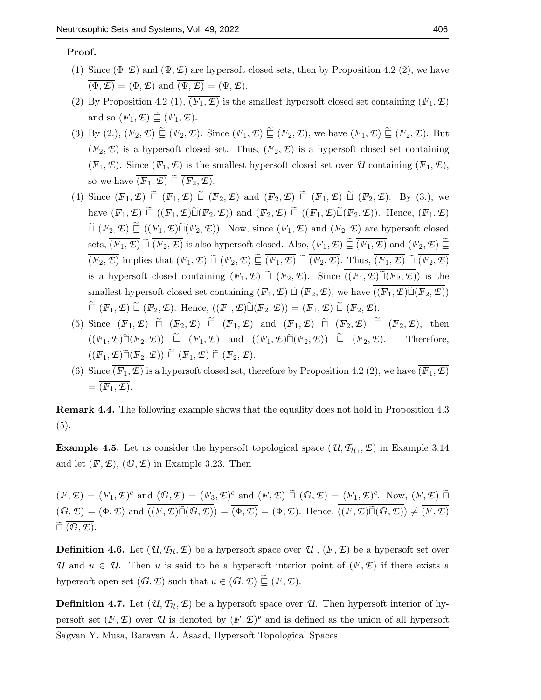#### Proof.

- (1) Since  $(\Phi, \mathcal{E})$  and  $(\Psi, \mathcal{E})$  are hypersoft closed sets, then by Proposition 4.2 (2), we have  $\overline{(\Phi,\mathcal{L})} = (\Phi,\mathcal{L})$  and  $\overline{(\Psi,\mathcal{L})} = (\Psi,\mathcal{L}).$
- (2) By Proposition 4.2 (1),  $(\overline{F_1}, \overline{E})$  is the smallest hypersoft closed set containing  $(F_1, \overline{E})$ and so  $(F_1, \mathcal{L}) \subseteq \overline{(F_1, \mathcal{L})}$ .
- (3) By (2.),  $(F_2, \mathcal{E}) \subseteq \overline{(F_2, \mathcal{E})}$ . Since  $(F_1, \mathcal{E}) \subseteq \overline{(F_2, \mathcal{E})}$ , we have  $(F_1, \mathcal{E}) \subseteq \overline{(F_2, \mathcal{E})}$ . But  $\overline{(F_2,\mathcal{F})}$  is a hypersoft closed set. Thus,  $\overline{(F_2,\mathcal{F})}$  is a hypersoft closed set containing  $(F_1, \mathcal{E})$ . Since  $\overline{(F_1, \mathcal{E})}$  is the smallest hypersoft closed set over *U* containing  $(F_1, \mathcal{E})$ , so we have  $\overline{(F_1, \mathcal{L})} \subseteq \overline{(F_2, \mathcal{L})}$ .
- (4) Since  $(F_1, \mathcal{E}) \subseteq (F_1, \mathcal{E}) \sqcup (F_2, \mathcal{E})$  and  $(F_2, \mathcal{E}) \subseteq (F_1, \mathcal{E}) \sqcup (F_2, \mathcal{E})$ . By (3.), we have  $(\overline{F_1}, \mathcal{E}) \subseteq (F_1, \mathcal{E}) \widetilde{\sqcup} (F_2, \mathcal{E})$  and  $(\overline{F_2}, \mathcal{E}) \subseteq (\overline{(F_1, \mathcal{E}) \widetilde{\sqcup} (F_2, \mathcal{E})})$ . Hence,  $(\overline{F_1}, \mathcal{E})$  $\widetilde{\Box}(\overline{\mathbb{F}_{2},\mathcal{E}}) \subseteq \overline{(\mathbb{F}_{1},\mathcal{E})\widetilde{\Box}(\mathbb{F}_{2},\mathcal{E})}$ . Now, since  $\overline{(\mathbb{F}_{1},\mathcal{E})}$  and  $\overline{(\mathbb{F}_{2},\mathcal{E})}$  are hypersoft closed sets,  $(\overline{F_1}, \overline{E})$   $\widetilde{\sqcup}$   $(\overline{F_2}, \overline{E})$  is also hypersoft closed. Also,  $(F_1, \overline{E}) \widetilde{\sqsubseteq} (\overline{F_1}, \overline{E})$  and  $(F_2, \overline{E}) \widetilde{\sqsubseteq}$  $\overline{(F_2,\mathcal{F})}$  implies that  $(F_1,\mathcal{F}) \sqsubseteq (F_2,\mathcal{F}) \sqsubseteq \overline{(F_1,\mathcal{F})} \sqcup \overline{(F_2,\mathcal{F})}$ . Thus,  $\overline{(F_1,\mathcal{F})} \sqcup \overline{(F_2,\mathcal{F})}$ is a hypersoft closed containing  $(F_1, \mathcal{L}) \tilde{\sqcup} (F_2, \mathcal{L})$ . Since  $\overline{((F_1, \mathcal{L})\tilde{\sqcup} (F_2, \mathcal{L})})$  is the smallest hypersoft closed set containing  $(F_1, \mathcal{E}) \sqcup (F_2, \mathcal{E})$ , we have  $\overline{((F_1, \mathcal{E})\sqcup (F_2, \mathcal{E})})$  $\widetilde{\Xi}(\overline{\mathbb{F}_1}, \mathcal{F}) \widetilde{\Box}(\overline{\mathbb{F}_2}, \mathcal{F})$ . Hence,  $\overline{(\mathbb{F}_1, \mathcal{F})\widetilde{\Box}(\mathbb{F}_2, \mathcal{F})} = \overline{(\mathbb{F}_1, \mathcal{F})} \widetilde{\Box}(\overline{\mathbb{F}_2, \mathcal{F}})$ .
- (5) Since  $(F_1, \mathcal{L})$   $\tilde{\Box}$   $(F_2, \mathcal{L})$   $\tilde{\sqsubseteq}$   $(F_1, \mathcal{L})$  and  $(F_1, \mathcal{L})$   $\tilde{\Box}$   $(F_2, \mathcal{L})$   $\tilde{\sqsubseteq}$   $(F_2, \mathcal{L})$ , then  $\overline{((F_1, \mathcal{L})\widetilde{\cap} (F_2, \mathcal{L}))} \subseteq \overline{(F_1, \mathcal{L})}$  and  $\overline{((F_1, \mathcal{L})\widetilde{\cap} (F_2, \mathcal{L}))} \subseteq \overline{(F_2, \mathcal{L})}$ . Therefore,  $\overline{((\mathbb{F}_1,\mathcal{L})\widetilde{\cap}(\mathbb{F}_2,\mathcal{L}))}\subseteq \overline{(\mathbb{F}_1,\mathcal{L})}\widetilde{\cap} \overline{(\mathbb{F}_2,\mathcal{L})}.$
- (6) Since  $(\overline{F_1, \mathcal{L}})$  is a hypersoft closed set, therefore by Proposition 4.2 (2), we have  $(\overline{F_1, \mathcal{L}})$  $=\overline{(F_1,\mathcal{L})}.$

Remark 4.4. The following example shows that the equality does not hold in Proposition 4.3  $(5).$ 

**Example 4.5.** Let us consider the hypersoft topological space  $(\mathcal{U}, \mathcal{T}_{\mathcal{H}_1}, \mathcal{E})$  in Example 3.14 and let  $(F, \mathcal{E}), (G, \mathcal{E})$  in Example 3.23. Then

 $(\overline{\mathbb{F}, \mathcal{E}}) = (\mathbb{F}_1, \mathcal{E})^c$  and  $\overline{(\mathbb{G}, \mathcal{E})} = (\mathbb{F}_3, \mathcal{E})^c$  and  $\overline{(\mathbb{F}, \mathcal{E})} \cap \overline{(\mathbb{G}, \mathcal{E})} = (\mathbb{F}_1, \mathcal{E})^c$ . Now,  $(\mathbb{F}, \mathcal{E}) \cap \overline{\mathbb{F}}$  $(\mathcal{G}, \mathcal{L}) = (\Phi, \mathcal{L})$  and  $\overline{((\mathbb{F}, \mathcal{L})\widetilde{\cap}(\mathbb{G}, \mathcal{L}))} = \overline{(\Phi, \mathcal{L})} = (\Phi, \mathcal{L})$ . Hence,  $\overline{((\mathbb{F}, \mathcal{L})\widetilde{\cap}(\mathbb{G}, \mathcal{L}))} \neq \overline{(\mathbb{F}, \mathcal{L})}$  $\widetilde{\Pi}(\mathbb{G},\mathcal{E})$ .

**Definition 4.6.** Let  $(\mathcal{U}, \mathcal{T}_{\mathcal{H}}, \mathcal{E})$  be a hypersoft space over  $\mathcal{U}$ ,  $(\mathbb{F}, \mathcal{E})$  be a hypersoft set over *U* and  $u \in U$ . Then u is said to be a hypersoft interior point of  $(F, \mathcal{E})$  if there exists a hypersoft open set  $(G, \mathcal{E})$  such that  $u \in (G, \mathcal{E}) \subseteq (F, \mathcal{E})$ .

**Definition 4.7.** Let  $(\mathcal{U}, \mathcal{T}_H, \mathcal{E})$  be a hypersoft space over  $\mathcal{U}$ . Then hypersoft interior of hypersoft set  $(F, \mathcal{E})$  over  $\mathcal U$  is denoted by  $(F, \mathcal{E})^{\rho}$  and is defined as the union of all hypersoft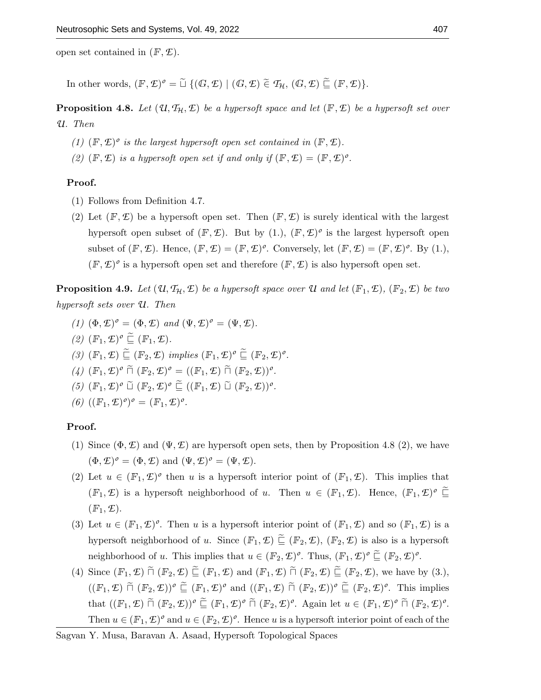open set contained in (F,*E*).

In other words,  $(F, \mathcal{E})^o = \widetilde{\sqcup} \{ (G, \mathcal{E}) \mid (G, \mathcal{E}) \widetilde{\in} \mathcal{T}_{\mathcal{H}}, (G, \mathcal{E}) \widetilde{\sqsubseteq} (F, \mathcal{E}) \}.$ 

**Proposition 4.8.** Let  $(\mathcal{U}, \mathcal{T}_H, \mathcal{E})$  be a hypersoft space and let  $(\mathbb{F}, \mathcal{E})$  be a hypersoft set over *U*. Then

- (1)  $(F, \mathcal{L})^{\circ}$  is the largest hypersoft open set contained in  $(F, \mathcal{L})$ .
- (2)  $(F, \mathcal{E})$  is a hypersoft open set if and only if  $(F, \mathcal{E}) = (F, \mathcal{E})^o$ .

#### Proof.

- (1) Follows from Definition 4.7.
- (2) Let  $(F, \mathcal{E})$  be a hypersoft open set. Then  $(F, \mathcal{E})$  is surely identical with the largest hypersoft open subset of  $(F, \mathcal{E})$ . But by  $(1, 0)$ ,  $(F, \mathcal{E})^{\sigma}$  is the largest hypersoft open subset of  $(F, \mathcal{E})$ . Hence,  $(F, \mathcal{E}) = (F, \mathcal{E})^o$ . Conversely, let  $(F, \mathcal{E}) = (F, \mathcal{E})^o$ . By (1.),  $(F, \mathcal{E})^{\sigma}$  is a hypersoft open set and therefore  $(F, \mathcal{E})$  is also hypersoft open set.

**Proposition 4.9.** Let  $(\mathcal{U}, \mathcal{T}_\mathcal{H}, \mathcal{L})$  be a hypersoft space over  $\mathcal{U}$  and let  $(\mathbb{F}_1, \mathcal{L}), (\mathbb{F}_2, \mathcal{L})$  be two hypersoft sets over *U*. Then

- (1)  $(\Phi, \mathcal{L})^{\circ} = (\Phi, \mathcal{L})$  and  $(\Psi, \mathcal{L})^{\circ} = (\Psi, \mathcal{L})$ .
- $(2)$   $(F_1, \mathcal{L})^o \subseteq (F_1, \mathcal{L}).$
- $(3)$   $(F_1, \mathcal{L}) \subseteq \overline{(F_2, \mathcal{L})}$  *implies*  $(F_1, \mathcal{L})^o \subseteq (F_2, \mathcal{L})^o$ .
- $(4)$   $(F_1, \mathcal{L})^o \tilde{\sqcap} (F_2, \mathcal{L})^o = ((F_1, \mathcal{L}) \tilde{\sqcap} (F_2, \mathcal{L}))^o.$
- $(F_1, \mathcal{E})^o \widetilde{\sqcup} (F_2, \mathcal{E})^o \widetilde{\sqsubseteq} ((F_1, \mathcal{E}) \widetilde{\sqcup} (F_2, \mathcal{E}))^o.$
- (6)  $((\mathbb{F}_1, \mathcal{L})^o)^o = (\mathbb{F}_1, \mathcal{L})^o$ .

#### Proof.

- (1) Since  $(\Phi, \mathcal{E})$  and  $(\Psi, \mathcal{E})$  are hypersoft open sets, then by Proposition 4.8 (2), we have  $(\Phi, \mathcal{L})^{\rho} = (\Phi, \mathcal{L})$  and  $(\Psi, \mathcal{L})^{\rho} = (\Psi, \mathcal{L}).$
- (2) Let  $u \in (F_1, \mathcal{L})^{\circ}$  then u is a hypersoft interior point of  $(F_1, \mathcal{L})$ . This implies that  $(F_1, \mathcal{E})$  is a hypersoft neighborhood of u. Then  $u \in (F_1, \mathcal{E})$ . Hence,  $(F_1, \mathcal{E})^o \subseteq$  $(F_1, \mathcal{E}).$
- (3) Let  $u \in (F_1, \mathcal{L})^o$ . Then u is a hypersoft interior point of  $(F_1, \mathcal{L})$  and so  $(F_1, \mathcal{L})$  is a hypersoft neighborhood of u. Since  $(F_1, \mathcal{E}) \subseteq (F_2, \mathcal{E})$ ,  $(F_2, \mathcal{E})$  is also is a hypersoft neighborhood of u. This implies that  $u \in (F_2, \mathcal{L})^o$ . Thus,  $(F_1, \mathcal{L})^o \subseteq (F_2, \mathcal{L})^o$ .
- (4) Since  $(F_1, \mathcal{E}) \widetilde{\sqcap} (F_2, \mathcal{E}) \subseteq \widetilde{\sqsubseteq} (F_1, \mathcal{E})$  and  $(F_1, \mathcal{E}) \widetilde{\sqcap} (F_2, \mathcal{E}) \subseteq \widetilde{\sqsubseteq} (F_2, \mathcal{E})$ , we have by (3.),  $((\mathbb{F}_1, \mathcal{E}) \widetilde{\sqcap} (\mathbb{F}_2, \mathcal{E}))^o \subseteq (\mathbb{F}_1, \mathcal{E})^o$  and  $((\mathbb{F}_1, \mathcal{E}) \widetilde{\sqcap} (\mathbb{F}_2, \mathcal{E}))^o \subseteq (\mathbb{F}_2, \mathcal{E})^o$ . This implies that  $((\mathbb{F}_1, \mathcal{E}) \cap (\mathbb{F}_2, \mathcal{E}))^o \subseteq (\mathbb{F}_1, \mathcal{E})^o \cap (\mathbb{F}_2, \mathcal{E})^o$ . Again let  $u \in (\mathbb{F}_1, \mathcal{E})^o \cap (\mathbb{F}_2, \mathcal{E})^o$ . Then  $u \in (F_1, \mathcal{L})^o$  and  $u \in (F_2, \mathcal{L})^o$ . Hence u is a hypersoft interior point of each of the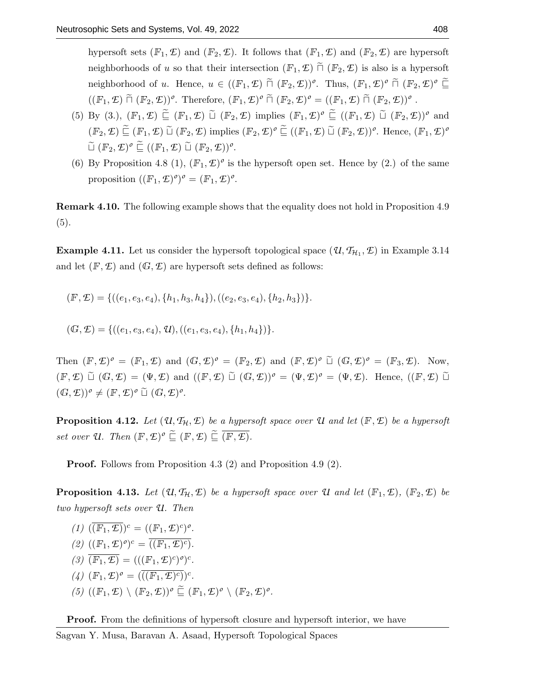hypersoft sets  $(F_1, \mathcal{L})$  and  $(F_2, \mathcal{L})$ . It follows that  $(F_1, \mathcal{L})$  and  $(F_2, \mathcal{L})$  are hypersoft neighborhoods of u so that their intersection  $(F_1, \mathcal{F}) \cap (F_2, \mathcal{F})$  is also is a hypersoft neighborhood of u. Hence,  $u \in ((F_1, \mathcal{E}) \cap (F_2, \mathcal{E}))^o$ . Thus,  $(F_1, \mathcal{E})^o \cap (F_2, \mathcal{E})^o \subseteq$  $((\mathbb{F}_1, \mathcal{E}) \widetilde{\sqcap} (\mathbb{F}_2, \mathcal{E}))^o$ . Therefore,  $(\mathbb{F}_1, \mathcal{E})^o \widetilde{\sqcap} (\mathbb{F}_2, \mathcal{E})^o = ((\mathbb{F}_1, \mathcal{E}) \widetilde{\sqcap} (\mathbb{F}_2, \mathcal{E}))^o$ .

- (5) By (3.),  $(F_1, \mathcal{E}) \subseteq (F_1, \mathcal{E}) \cup (F_2, \mathcal{E})$  implies  $(F_1, \mathcal{E})^{\sigma} \subseteq ((F_1, \mathcal{E}) \cup (F_2, \mathcal{E}))^{\sigma}$  and  $(F_2, \mathcal{E}) \subseteq (F_1, \mathcal{E}) \sqcup (F_2, \mathcal{E})$  implies  $(F_2, \mathcal{E})^o \subseteq ((F_1, \mathcal{E}) \sqcup (F_2, \mathcal{E}))^o$ . Hence,  $(F_1, \mathcal{E})^o$  $\widetilde{\Box}$   $(F_2,\mathcal{L})^o \subseteq ((F_1,\mathcal{L}) \widetilde{\Box} (F_2,\mathcal{L}))^o.$
- (6) By Proposition 4.8 (1),  $(F_1, \mathcal{L})^{\sigma}$  is the hypersoft open set. Hence by (2.) of the same proposition  $((\mathbb{F}_1, \mathcal{L})^o)^o = (\mathbb{F}_1, \mathcal{L})^o$ .

Remark 4.10. The following example shows that the equality does not hold in Proposition 4.9  $(5).$ 

**Example 4.11.** Let us consider the hypersoft topological space  $(\mathcal{U}, \mathcal{T}_{\mathcal{H}_1}, \mathcal{E})$  in Example 3.14 and let  $(F, \mathcal{E})$  and  $(G, \mathcal{E})$  are hypersoft sets defined as follows:

$$
(\mathbb{F}, \mathcal{E}) = \{ ((e_1, e_3, e_4), \{h_1, h_3, h_4\}), ((e_2, e_3, e_4), \{h_2, h_3\})\}.
$$

$$
(\mathbb{G}, \mathcal{E}) = \{ ((e_1, e_3, e_4), \mathcal{U}), ((e_1, e_3, e_4), \{h_1, h_4\})\}.
$$

Then  $(F, \mathcal{E})^{\circ} = (F_1, \mathcal{E})$  and  $(\mathcal{G}, \mathcal{E})^{\circ} = (F_2, \mathcal{E})$  and  $(F, \mathcal{E})^{\circ} \cup (\mathcal{G}, \mathcal{E})^{\circ} = (F_3, \mathcal{E})$ . Now,  $(F, \mathcal{E}) \subseteq (\mathcal{G}, \mathcal{E}) = (\Psi, \mathcal{E})$  and  $((F, \mathcal{E}) \subseteq (\mathcal{G}, \mathcal{E}))^{\circ} = (\Psi, \mathcal{E})^{\circ} = (\Psi, \mathcal{E})$ . Hence,  $((F, \mathcal{E}) \subseteq$  $(\mathbb{G}, \mathcal{E})^{\rho} \neq (\mathbb{F}, \mathcal{E})^{\rho}$   $\widetilde{\sqcup}$   $(\mathbb{G}, \mathcal{E})^{\rho}$ .

**Proposition 4.12.** Let  $(\mathcal{U}, \mathcal{T}_H, \mathcal{E})$  be a hypersoft space over  $\mathcal{U}$  and let  $(\mathbb{F}, \mathcal{E})$  be a hypersoft set over *U*. Then  $(F, \mathcal{L})^o \subseteq (F, \mathcal{L}) \subseteq (F, \mathcal{L})$ .

Proof. Follows from Proposition 4.3 (2) and Proposition 4.9 (2).

**Proposition 4.13.** Let  $(\mathcal{U}, \mathcal{T}_{\mathcal{H}}, \mathcal{E})$  be a hypersoft space over  $\mathcal{U}$  and let  $(\mathbb{F}_1, \mathcal{E}), (\mathbb{F}_2, \mathcal{E})$  be two hypersoft sets over *U*. Then

(1) 
$$
(\overline{(F_1, \mathcal{E})})^c = ((F_1, \mathcal{E})^c)^o.
$$
  
\n(2) 
$$
((F_1, \mathcal{E})^o)^c = \overline{((F_1, \mathcal{E})^c)}.
$$
  
\n(3) 
$$
\overline{(F_1, \mathcal{E})} = (((F_1, \mathcal{E})^c)^o)^c.
$$
  
\n(4) 
$$
(F_1, \mathcal{E})^o = (\overline{((F_1, \mathcal{E})^c)})^c.
$$
  
\n(5) 
$$
((F_1, \mathcal{E}) \setminus (F_2, \mathcal{E}))^o \subseteq (F_1, \mathcal{E})^o \setminus (F_2, \mathcal{E})^o.
$$

**Proof.** From the definitions of hypersoft closure and hypersoft interior, we have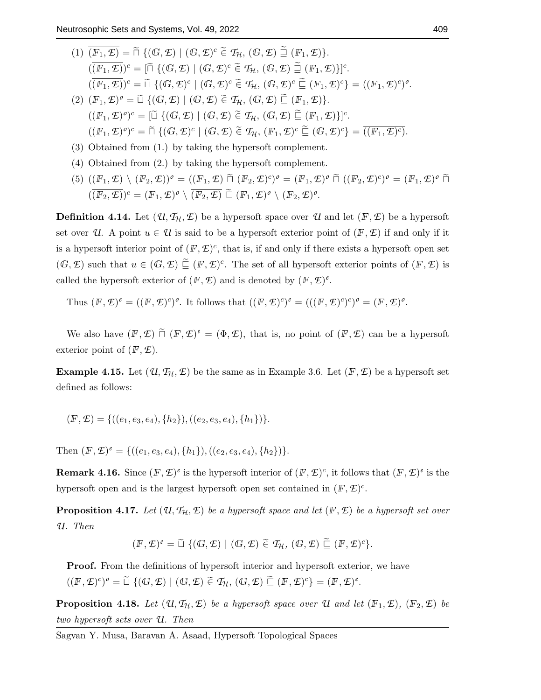- $(1)$   $\overline{(\mathbb{F}_1,\mathcal{F})} = \widetilde{\sqcap} \{ (G,\mathcal{F}) \mid (G,\mathcal{F})^c \in \mathcal{T}_\mathcal{H}, (G,\mathcal{F}) \sqsupseteq (\mathbb{F}_1,\mathcal{F}) \}.$  $(\overline{(\mathbb{F}_1,\mathcal{E})})^c = [\widetilde{\sqcap} \{(\mathbb{G},\mathcal{E}) \mid (\mathbb{G},\mathcal{E})^c \in \mathcal{T}_{\mathcal{H}}, (\mathbb{G},\mathcal{E}) \sqsupseteq^c (\mathbb{F}_1,\mathcal{E})\}]^c.$  $(\overline{(F_1, \mathcal{E})})^c = \widetilde{\sqcup} \{(\mathcal{G}, \mathcal{E})^c \mid (\mathcal{G}, \mathcal{E})^c \in \mathcal{T}_{\mathcal{H}}, (\mathcal{G}, \mathcal{E})^c \subseteq (\mathbb{F}_1, \mathcal{E})^c\} = ((F_1, \mathcal{E})^c)^o.$
- $(2)$   $(F_1, \mathcal{L})^o = \widetilde{\sqcup} \{(\mathcal{G}, \mathcal{L}) \mid (\mathcal{G}, \mathcal{L}) \widetilde{\in} \mathcal{T}_{\mathcal{H}}, (\mathcal{G}, \mathcal{L}) \widetilde{\sqsubseteq} (F_1, \mathcal{L})\}.$  $((\mathbb{F}_1, \mathcal{L})^o)^c = [\widetilde{\sqcup} \{(\mathbb{G}, \mathcal{L}) \mid (\mathbb{G}, \mathcal{L}) \widetilde{\in} \mathcal{I}_{\mathcal{H}}, (\mathbb{G}, \mathcal{L}) \widetilde{\sqsubseteq} (\mathbb{F}_1, \mathcal{L})\}]^c.$  $((\mathbb{F}_1, \mathcal{L})^o)^c = \widetilde{\sqcap} \{ (\mathbb{G}, \mathcal{L})^c \mid (\mathbb{G}, \mathcal{L}) \widetilde{\in} \mathcal{I}_{\mathcal{H}}, (\mathbb{F}_1, \mathcal{L})^c \widetilde{\sqsubseteq} (\mathbb{G}, \mathcal{L})^c \} = \overline{((\mathbb{F}_1, \mathcal{L})^c)}$ .
- (3) Obtained from (1.) by taking the hypersoft complement.
- (4) Obtained from (2.) by taking the hypersoft complement.
- $(5) ((F_1, \mathcal{E}) \setminus (F_2, \mathcal{E}))^{\rho} = ((F_1, \mathcal{E}) \tilde{\sqcap} (F_2, \mathcal{E})^c)^{\rho} = (F_1, \mathcal{E})^{\rho} \tilde{\sqcap} ((F_2, \mathcal{E})^c)^{\rho} = (F_1, \mathcal{E})^{\rho} \tilde{\sqcap}$  $(\overline{(F_2, \mathcal{E})})^c = (F_1, \mathcal{E})^o \setminus \overline{(F_2, \mathcal{E})} \subseteq (F_1, \mathcal{E})^o \setminus (F_2, \mathcal{E})^o.$

**Definition 4.14.** Let  $(\mathcal{U}, \mathcal{T}_H, \mathcal{E})$  be a hypersoft space over  $\mathcal{U}$  and let  $(\mathbb{F}, \mathcal{E})$  be a hypersoft set over *U*. A point  $u \in U$  is said to be a hypersoft exterior point of  $(F, \mathcal{L})$  if and only if it is a hypersoft interior point of  $(F, \mathcal{L})^c$ , that is, if and only if there exists a hypersoft open set  $(G, \mathcal{E})$  such that  $u \in (G, \mathcal{E}) \subseteq (F, \mathcal{E})^c$ . The set of all hypersoft exterior points of  $(F, \mathcal{E})$  is called the hypersoft exterior of  $(F, \mathcal{L})$  and is denoted by  $(F, \mathcal{L})^e$ .

Thus  $(F, \mathcal{E})^e = ((F, \mathcal{E})^c)^o$ . It follows that  $((F, \mathcal{E})^c)^e = (((F, \mathcal{E})^c)^o) = (F, \mathcal{E})^o$ .

We also have  $(F, \mathcal{E}) \cap (F, \mathcal{E})^e = (\Phi, \mathcal{E})$ , that is, no point of  $(F, \mathcal{E})$  can be a hypersoft exterior point of  $(F, \mathcal{E})$ .

**Example 4.15.** Let  $(\mathcal{U}, \mathcal{T}_{\mathcal{H}}, \mathcal{L})$  be the same as in Example 3.6. Let  $(\mathbb{F}, \mathcal{L})$  be a hypersoft set defined as follows:

$$
(F, \mathcal{E}) = \{ ((e_1, e_3, e_4), \{h_2\}), ((e_2, e_3, e_4), \{h_1\})\}.
$$

Then  $(F, \mathcal{E})^e = \{((e_1, e_3, e_4), \{h_1\}), ((e_2, e_3, e_4), \{h_2\})\}.$ 

**Remark 4.16.** Since  $(F, \mathcal{L})^e$  is the hypersoft interior of  $(F, \mathcal{L})^c$ , it follows that  $(F, \mathcal{L})^e$  is the hypersoft open and is the largest hypersoft open set contained in  $(F, \mathcal{L})^c$ .

**Proposition 4.17.** Let  $(\mathcal{U}, \mathcal{T}_H, \mathcal{E})$  be a hypersoft space and let  $(\mathbb{F}, \mathcal{E})$  be a hypersoft set over *U*. Then

$$
(\mathbb{F},\mathcal{L})^e=\widetilde{\sqcup}\,\{(\mathbb{G},\mathcal{L})\mid (\mathbb{G},\mathcal{L})\in\mathcal{T}_\mathcal{H},\,(\mathbb{G},\mathcal{L})\subseteq(\mathbb{F},\mathcal{L})^c\}.
$$

**Proof.** From the definitions of hypersoft interior and hypersoft exterior, we have  $((\mathbb{F}, \mathcal{E})^c)^o = \widetilde{\sqcup} \{(\mathbb{G}, \mathcal{E}) \mid (\mathbb{G}, \mathcal{E}) \widetilde{\in} \mathcal{I}_{\mathcal{H}}, (\mathbb{G}, \mathcal{E}) \widetilde{\sqsubseteq} (\mathbb{F}, \mathcal{E})^c\} = (\mathbb{F}, \mathcal{E})^e.$ 

**Proposition 4.18.** Let  $(\mathcal{U}, \mathcal{T}_{\mathcal{H}}, \mathcal{E})$  be a hypersoft space over  $\mathcal{U}$  and let  $(\mathbb{F}_1, \mathcal{E})$ ,  $(\mathbb{F}_2, \mathcal{E})$  be two hypersoft sets over *U*. Then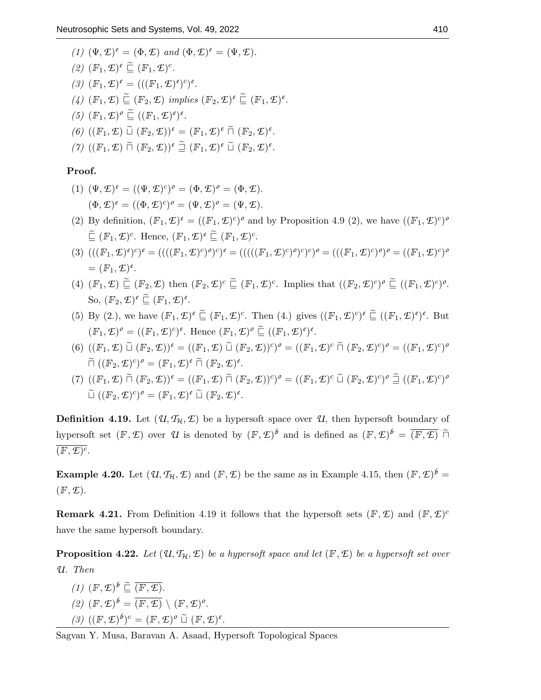(1)  $(\Psi, \mathcal{L})^e = (\Phi, \mathcal{L})$  and  $(\Phi, \mathcal{L})^e = (\Psi, \mathcal{L})$ .  $(2)$   $(F_1, \mathcal{E})^e \subseteq (F_1, \mathcal{E})^c$ . (3)  $(F_1, \mathcal{L})^e = (((F_1, \mathcal{L})^e)^c)^e$ .  $(4)$   $(F_1, \mathcal{L}) \subseteq \mathcal{F}_2, \mathcal{L}$  *implies*  $(F_2, \mathcal{L})^e \subseteq (F_1, \mathcal{L})^e$ . (5)  $(F_1, \mathcal{E})^o \subseteq ((F_1, \mathcal{E})^e)^e$ .  $(6) ((\mathbb{F}_1, \mathcal{E}) \mathbb{U} (\mathbb{F}_2, \mathcal{E}))^e = (\mathbb{F}_1, \mathcal{E})^e \mathbb{U} (\mathbb{F}_2, \mathcal{E})^e.$  $(7) ((\mathbb{F}_1, \mathcal{E}) \widetilde{\sqcap} (\mathbb{F}_2, \mathcal{E}))^e \widetilde{\sqsupseteq} (\mathbb{F}_1, \mathcal{E})^e \widetilde{\sqcup} (\mathbb{F}_2, \mathcal{E})^e.$ 

# Proof.

- (1)  $(\Psi, \mathcal{L})^e = ((\Psi, \mathcal{L})^c)^o = (\Phi, \mathcal{L})^o = (\Phi, \mathcal{L}).$  $(\Phi, \mathcal{L})^e = ((\Phi, \mathcal{L})^c)^o = (\Psi, \mathcal{L})^o = (\Psi, \mathcal{L}).$
- (2) By definition,  $(F_1, \mathcal{L})^e = ((F_1, \mathcal{L})^c)^o$  and by Proposition 4.9 (2), we have  $((F_1, \mathcal{L})^c)^o$  $\widetilde{\subseteq}$   $(F_1, \mathcal{E})^c$ . Hence,  $(F_1, \mathcal{E})^e \widetilde{\subseteq} (F_1, \mathcal{E})^c$ .
- $(3)$   $(((F_1, \mathcal{L})^e)^c)^e = ((((F_1, \mathcal{L})^c)^o)^c)^e = (((((F_1, \mathcal{L})^c)^o)^c)^c)^o)^e = (((F_1, \mathcal{L})^c)^o)^o = ((F_1, \mathcal{L})^c)^o$  $=$   $(F_1, \mathcal{L})^e$ .
- (4)  $(F_1, \mathcal{E}) \subseteq (F_2, \mathcal{E})$  then  $(F_2, \mathcal{E})^c \subseteq (F_1, \mathcal{E})^c$ . Implies that  $((F_2, \mathcal{E})^c)^o \subseteq ((F_1, \mathcal{E})^c)^o$ . So,  $(F_2, \mathcal{E})^e \subseteq (F_1, \mathcal{E})^e$ .
- (5) By (2.), we have  $(F_1, \mathcal{L})^e \subseteq (F_1, \mathcal{L})^c$ . Then (4.) gives  $((F_1, \mathcal{L})^c)^e \subseteq ((F_1, \mathcal{L})^e)^e$ . But  $(F_1, \mathcal{E})^o = ((F_1, \mathcal{E})^c)^e$ . Hence  $(F_1, \mathcal{E})^o \subseteq ((F_1, \mathcal{E})^e)^e$ .
- (6)  $((\mathbb{F}_1, \mathcal{E}) \tilde{\sqcup} (\mathbb{F}_2, \mathcal{E}))^e = ((\mathbb{F}_1, \mathcal{E}) \tilde{\sqcup} (\mathbb{F}_2, \mathcal{E}))^c)^o = ((\mathbb{F}_1, \mathcal{E})^c \tilde{\sqcap} (\mathbb{F}_2, \mathcal{E})^c)^o = ((\mathbb{F}_1, \mathcal{E})^c)^o$  $\widetilde{\Box} ((\mathbb{F}_2, \mathcal{E})^c)^{\mathfrak{o}} = (\mathbb{F}_1, \mathcal{E})^{\mathfrak{o}} \widetilde{\Box} (\mathbb{F}_2, \mathcal{E})^{\mathfrak{o}}.$
- $(F_1, \mathcal{E}) \cap (\mathbb{F}_2, \mathcal{E})^e = ((\mathbb{F}_1, \mathcal{E}) \cap (\mathbb{F}_2, \mathcal{E}))^c)^o = ((\mathbb{F}_1, \mathcal{E})^c \cap (\mathbb{F}_2, \mathcal{E})^c)^o \stackrel{\sim}{=} ((\mathbb{F}_1, \mathcal{E})^c)^o$  $\widetilde{\mathcal{L}}\left((\mathbb{F}_2,\mathcal{E})^c\right)^{\rho} = (\mathbb{F}_1,\mathcal{E})^e \widetilde{\mathcal{L}}\left(\mathbb{F}_2,\mathcal{E}\right)^e.$

**Definition 4.19.** Let  $(\mathcal{U}, \mathcal{T}_{\mathcal{H}}, \mathcal{L})$  be a hypersoft space over  $\mathcal{U}$ , then hypersoft boundary of hypersoft set  $(F, \mathcal{E})$  over *U* is denoted by  $(F, \mathcal{E})^{\beta}$  and is defined as  $(F, \mathcal{E})^{\beta} = \overline{(F, \mathcal{E})}$   $\tilde{\Box}$  $\overline{(F,\mathcal{I})^c}.$ 

**Example 4.20.** Let  $(\mathcal{U}, \mathcal{T}_{\mathcal{H}}, \mathcal{L})$  and  $(F, \mathcal{L})$  be the same as in Example 4.15, then  $(F, \mathcal{L})^{\hat{\mathfrak{b}}}$ (F,*E*).

**Remark 4.21.** From Definition 4.19 it follows that the hypersoft sets  $(F, \mathcal{E})$  and  $(F, \mathcal{E})^c$ have the same hypersoft boundary.

**Proposition 4.22.** Let  $(\mathcal{U}, \mathcal{T}_H, \mathcal{E})$  be a hypersoft space and let  $(\mathbb{F}, \mathcal{E})$  be a hypersoft set over *U*. Then

 $(1)$   $(F, \mathcal{L})^b \subseteq \overline{(F, \mathcal{L})}.$  $(2)$   $(F, \mathcal{L})^{\mathfrak{b}} = \overline{(F, \mathcal{L})} \setminus (F, \mathcal{L})^{\mathfrak{o}}.$  $(3)$   $((\mathbb{F}, \mathcal{L})^b)^c = (\mathbb{F}, \mathcal{L})^o \tilde{\sqcup} (\mathbb{F}, \mathcal{L})^e$ .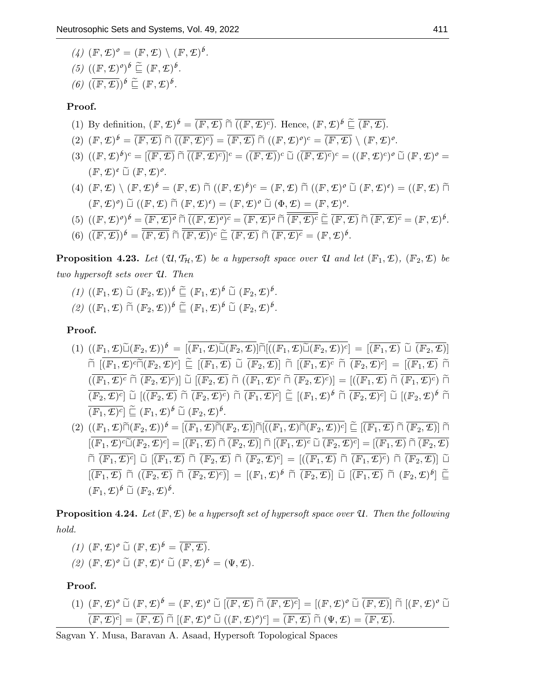$(4)$   $(F, \mathcal{L})^{\circ} = (F, \mathcal{L}) \setminus (F, \mathcal{L})^{\circ}.$ (5)  $((\mathbb{F}, \mathbb{E})^o)^b \subseteq (\mathbb{F}, \mathbb{E})^b$ .  $(6)$   $(\overline{(F,\mathcal{E})})^{\mathfrak{b}} \subseteq (\mathbb{F},\mathcal{E})^{\mathfrak{b}}$ .

# Proof.

- (1) By definition,  $(\mathbb{F}, \mathcal{E})^b = \overline{(\mathbb{F}, \mathcal{E})} \cap \overline{((\mathbb{F}, \mathcal{E})^c)}$ . Hence,  $(\mathbb{F}, \mathcal{E})^b \subseteq \overline{(\mathbb{F}, \mathcal{E})}$ .
- $(F, \mathcal{L})^{\beta} = \overline{(F, \mathcal{L}) \cap \left( (\overline{F}, \mathcal{L})^c \right)} = \overline{(F, \mathcal{L}) \cap \left( (\overline{F}, \mathcal{L})^o \right)}^c = \overline{(F, \mathcal{L})} \setminus (F, \mathcal{L})^o.$
- (3)  $((\mathbb{F}, \mathcal{L})^{\hat{\theta}})^c = [\overline{(\mathbb{F}, \mathcal{L})} \cap \overline{((\mathbb{F}, \mathcal{L})^c)}]^c = (\overline{(\mathbb{F}, \mathcal{L})^c})^c \sqcup (\overline{(\mathbb{F}, \mathcal{L})^c})^c = ((\mathbb{F}, \mathcal{L})^c)^{\hat{\theta}} \sqcup (\mathbb{F}, \mathcal{L})^{\hat{\theta}} =$  $(F, \mathcal{L})^e \sqcup (F, \mathcal{L})^o.$
- $(F, \mathcal{L}) \setminus (F, \mathcal{L})^{\beta} = (F, \mathcal{L}) \cap ((F, \mathcal{L})^{\beta})^c = (F, \mathcal{L}) \cap ((F, \mathcal{L})^{\rho} \cup (F, \mathcal{L})^e) = ((F, \mathcal{L}) \cap (F, \mathcal{L})^e)$  $(F, \mathcal{E})^o$   $\widetilde{\sqcup}$   $((\underline{F}, \mathcal{E}) \widetilde{\sqcap}$   $(\underline{F}, \mathcal{E})^e) = (F, \mathcal{E})^o \widetilde{\sqcup}$   $(\Phi, \mathcal{E}) = (\underline{F}, \mathcal{E})^o$ .
- $\widetilde{f}(\mathbf{b}) \cdot ((\mathbf{F}, \mathcal{L})^o)^{\beta} = \overline{(\mathbf{F}, \mathcal{L})^o} \widetilde{\sqcap} \overline{((\mathbf{F}, \mathcal{L})^o)^c} = \overline{(\mathbf{F}, \mathcal{L})^o} \widetilde{\sqcap} \overline{(\mathbf{F}, \mathcal{L})^c} \widetilde{\sqsubset} \overline{(\mathbf{F}, \mathcal{L})} \widetilde{\sqsubset} \overline{(\mathbf{F}, \mathcal{L})} \widetilde{\sqsubset} \overline{(\mathbf{F}, \mathcal{L})^c} = (\mathbf{F}, \mathcal{L$
- $(\overline{(F,\mathcal{L})})^{\beta} = \overline{(F,\mathcal{L})} \widetilde{\sqcap} \overline{(F,\mathcal{L})}^c \subseteq \overline{(F,\mathcal{L})} \widetilde{\sqcap} \overline{(F,\mathcal{L})^c} = (F,\mathcal{L})^{\beta}.$

**Proposition 4.23.** Let  $(\mathcal{U}, \mathcal{T}_H, \mathcal{E})$  be a hypersoft space over  $\mathcal{U}$  and let  $(\mathbb{F}_1, \mathcal{E})$ ,  $(\mathbb{F}_2, \mathcal{E})$  be two hypersoft sets over *U*. Then

- $(1) ((\mathbb{F}_1, \mathcal{L}) \widetilde{\sqcup} (\mathbb{F}_2, \mathcal{L}))^{\beta} \widetilde{\sqsubseteq} (\mathbb{F}_1, \mathcal{L})^{\beta} \widetilde{\sqcup} (\mathbb{F}_2, \mathcal{L})^{\beta}.$
- $(2) ((F_1, \mathcal{L}) \widetilde{\sqcap} (F_2, \mathcal{L}))^{\beta} \subseteq (\mathbb{F}_1, \mathcal{L})^{\beta} \widetilde{\sqcup} (F_2, \mathcal{L})^{\beta}.$

# Proof.

- $(1)$   $((\mathbb{F}_1, \mathcal{L}) \widetilde{\sqcup} (\mathbb{F}_2, \mathcal{L}))^{\beta} = [(\mathbb{F}_1, \mathcal{L}) \widetilde{\sqcup} (\mathbb{F}_2, \mathcal{L})] \widetilde{\sqcap} [((\mathbb{F}_1, \mathcal{L}) \widetilde{\sqcup} (\mathbb{F}_2, \mathcal{L}))^c] = [\overline{(\mathbb{F}_1, \mathcal{L})} \widetilde{\sqcup} \overline{(\mathbb{F}_2, \mathcal{L})}]$  $\widetilde{\Pi}$   $[(F_1, \mathcal{L})^c \widetilde{\Pi} (F_2, \mathcal{L})^c] \subseteq \overline{[(F_1, \mathcal{L})}$   $\widetilde{\Pi}$   $\overline{(F_2, \mathcal{L})^c}$   $\widetilde{\Pi}$   $\overline{(F_1, \mathcal{L})^c}$   $\widetilde{\Pi}$   $\overline{(F_2, \mathcal{L})^c}$   $\overline{[(F_1, \mathcal{L})}$   $\widetilde{\Pi}$  $(\overline{(F_1, \mathcal{L})^c} \ \widetilde{\sqcap} \ \overline{(F_2, \mathcal{L})^c})$ ]  $\Box \ \overline{[(F_2, \mathcal{L})} \ \widetilde{\sqcap} \ \overline{((F_1, \mathcal{L})^c} \ \widetilde{\sqcap} \ \overline{(F_2, \mathcal{L})^c})$ ] =  $\overline{[(F_1, \mathcal{L})^c} \ \widetilde{\sqcap} \ \overline{(F_1, \mathcal{L})^c})$   $\widetilde{\sqcap}$  $\overline{(F_2,\mathcal{L})^c}$   $\widetilde{\sqcup}$   $[(\overline{(F_2,\mathcal{L})^c})$   $\widetilde{\sqcap}$   $\overline{(F_2,\mathcal{L})^c})$   $\widetilde{\sqcap}$   $\overline{(F_1,\mathcal{L})^c}$   $\widetilde{\sqsubseteq}$   $[(F_1,\mathcal{L})^{\mathit{b}}$   $\widetilde{\sqcap}$   $\overline{(F_2,\mathcal{L})^c}]$   $\widetilde{\sqcup}$   $[(F_2,\mathcal{L})^{\mathit{b}}$   $\widetilde{\sqcap}$  $\overline{(\mathbb{F}_1,\mathcal{I})^c}]\stackrel{\sim}{\cong} (\mathbb{F}_1,\mathcal{I})^b\stackrel{\sim}{\textrm{or}}\overline{(\mathbb{F}_2,\mathcal{I})^b}.$
- $(2)$   $((\mathbb{F}_1, \mathcal{E}) \widetilde{\sqcap} (\mathbb{F}_2, \mathcal{E}))^{\beta} = [(\mathbb{F}_1, \mathcal{E}) \widetilde{\sqcap} (\mathbb{F}_2, \mathcal{E})] \widetilde{\sqcap} [((\mathbb{F}_1, \mathcal{E}) \widetilde{\sqcap} (\mathbb{F}_2, \mathcal{E}))^c] \stackrel{\sim}{=} [(\mathbb{F}_1, \mathcal{E}) \widetilde{\sqcap} (\mathbb{F}_2, \mathcal{E})] \widetilde{\sqcap}$  $\widetilde{[(F_1, \mathcal{L})^c \widetilde{\sqcup} (F_2, \mathcal{L})^c]} = \widetilde{[(F_1, \mathcal{L}) \cap (\overline{(F_2, \mathcal{L})}] \cap (\overline{(F_1, \mathcal{L})^c} \ \widetilde{\sqcup} \ \overline{(F_2, \mathcal{L})^c]} = \widetilde{[(F_1, \mathcal{L}) \cap (\overline{F_2, \mathcal{L})^c}]}$  $\widetilde{\Pi}$   $\overline{(F_1, \mathcal{L})^c}$   $\Box$   $\overline{(\overline{F_1}, \mathcal{L})}$   $\widetilde{\Pi}$   $\overline{(\overline{F_2}, \mathcal{L})^c}$   $\overline{\Pi}$   $\overline{(\overline{F_2}, \mathcal{L})^c}$   $\Box$   $\overline{(\overline{F_1}, \mathcal{L})^c}$   $\Box$   $\overline{\Pi}$   $\overline{(\overline{F_2}, \mathcal{L})}$   $\Box$   $\overline{\Box}$  $[(\overline{F_1}, \overline{E}) \cap ((\overline{F_2}, \overline{E}) \cap (\overline{F_2}, \overline{E})^c)] = [(F_1, \overline{E})^b \cap (\overline{F_2}, \overline{E})] \cup [(\overline{F_1}, \overline{E}) \cap (\overline{F_2}, \overline{E})^b] \subseteq$  $(F_1, \mathcal{L})^{\mathfrak{b}} \widetilde{\sqcup} (F_2, \mathcal{L})^{\mathfrak{b}}.$

**Proposition 4.24.** Let  $(F, \mathcal{E})$  be a hypersoft set of hypersoft space over U. Then the following hold.

$$
(1) \ (\mathbb{F}, \mathcal{L})^o \ \widetilde{\sqcup} \ (\mathbb{F}, \mathcal{L})^b = \overline{(\mathbb{F}, \mathcal{L})}.
$$

 $(E, \mathcal{L})^{\rho} \stackrel{\sim}{\cup} (F, \mathcal{L})^{\ell} \stackrel{\sim}{\cup} (F, \mathcal{L})^{\beta} = (\Psi, \mathcal{L}).$ 

Proof.

$$
(1) \ \ (\mathbb{F}, \mathcal{L})^o \ \widetilde{\sqcup} \ \ (\mathbb{F}, \mathcal{L})^b = (\mathbb{F}, \mathcal{L})^o \ \widetilde{\sqcup} \ \overline{[(\mathbb{F}, \mathcal{L}) \ \widetilde{\sqcap} \ \overline{(\mathbb{F}, \mathcal{L})^c}]} = [(\mathbb{F}, \mathcal{L})^o \ \widetilde{\sqcup} \ \overline{(\mathbb{F}, \mathcal{L})^c}] \ \widetilde{\sqcap} \ \overline{[(\mathbb{F}, \mathcal{L})^c]} = \overline{(\mathbb{F}, \mathcal{L})^c} \ \widetilde{\sqcap} \ \overline{[(\mathbb{F}, \mathcal{L})^c]} = \overline{(\mathbb{F}, \mathcal{L})} \ \widetilde{\sqcap} \ \overline{[(\mathbb{F}, \mathcal{L})^c]} = \overline{(\mathbb{F}, \mathcal{L})} \ \widetilde{\sqcap} \ \overline{[(\mathbb{F}, \mathcal{L})^c]} = \overline{(\mathbb{F}, \mathcal{L})}.
$$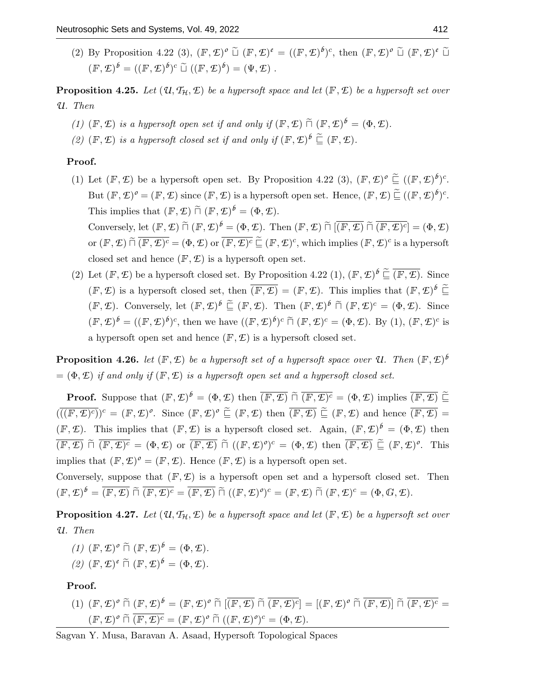(2) By Proposition 4.22 (3),  $(F, \mathcal{E})^{\circ}$   $\widetilde{\sqcup}$   $(F, \mathcal{E})^{\epsilon} = ((F, \mathcal{E})^{\delta})^c$ , then  $(F, \mathcal{E})^{\circ}$   $\widetilde{\sqcup}$   $(F, \mathcal{E})^{\epsilon}$   $\widetilde{\sqcup}$  $(F, \mathcal{E})^{\beta} = ((F, \mathcal{E})^{\beta})^c \sqcup ((F, \mathcal{E})^{\beta}) = (\Psi, \mathcal{E})$ .

**Proposition 4.25.** Let  $(\mathcal{U}, \mathcal{T}_H, \mathcal{E})$  be a hypersoft space and let  $(\mathbb{F}, \mathcal{E})$  be a hypersoft set over *U*. Then

- (1)  $(F, \mathcal{E})$  is a hypersoft open set if and only if  $(F, \mathcal{E}) \cap (F, \mathcal{E})^{\mathfrak{b}} = (\Phi, \mathcal{E})$ .
- (2)  $(F, \mathcal{E})$  is a hypersoft closed set if and only if  $(F, \mathcal{E})^b \subseteq (F, \mathcal{E})$ .

#### Proof.

- (1) Let  $(F, \mathcal{E})$  be a hypersoft open set. By Proposition 4.22 (3),  $(F, \mathcal{E})^{\rho} \subseteq ((F, \mathcal{E})^{\rho})^c$ . But  $(F, \mathcal{E})^{\rho} = (F, \mathcal{E})$  since  $(F, \mathcal{E})$  is a hypersoft open set. Hence,  $(F, \mathcal{E}) \subseteq (F, \mathcal{E})^{\rho}$ . This implies that  $(F, \mathcal{L}) \widetilde{\sqcap} (F, \mathcal{L})^{\mathfrak{b}} = (\Phi, \mathcal{L}).$ Conversely, let  $(F, \mathcal{E}) \cap (F, \mathcal{E})^b = (\Phi, \mathcal{E})$ . Then  $(F, \mathcal{E}) \cap (\overline{(F, \mathcal{E})} \cap (\overline{F, \mathcal{E})^c}] = (\Phi, \mathcal{E})$ or  $(F, \mathcal{E}) \cap \overline{(F, \mathcal{E})^c} = (\Phi, \mathcal{E})$  or  $\overline{(F, \mathcal{E})^c} \subseteq \overline{(F, \mathcal{E})^c}$ , which implies  $(F, \mathcal{E})^c$  is a hypersoft closed set and hence  $(F, \mathcal{L})$  is a hypersoft open set.
- (2) Let  $(F, \mathcal{E})$  be a hypersoft closed set. By Proposition 4.22 (1),  $(F, \mathcal{E})^b \subseteq \overline{(F, \mathcal{E})}$ . Since  $(F, \mathcal{E})$  is a hypersoft closed set, then  $\overline{(F, \mathcal{E})} = (F, \mathcal{E})$ . This implies that  $(F, \mathcal{E})^{\beta} \subseteq$  $(F, \mathcal{E})$ . Conversely, let  $(F, \mathcal{E})^{\beta} \subseteq (F, \mathcal{E})$ . Then  $(F, \mathcal{E})^{\beta} \cap (F, \mathcal{E})^c = (\Phi, \mathcal{E})$ . Since  $(F, \mathcal{E})^{\beta} = ((F, \mathcal{E})^{\beta})^c$ , then we have  $((F, \mathcal{E})^{\beta})^c \cap (F, \mathcal{E})^c = (\Phi, \mathcal{E})$ . By (1),  $(F, \mathcal{E})^c$  is a hypersoft open set and hence  $(F, \mathcal{E})$  is a hypersoft closed set.

**Proposition 4.26.** let  $(F, \mathcal{E})$  be a hypersoft set of a hypersoft space over  $\mathcal{U}$ . Then  $(F, \mathcal{E})^b$  $=(\Phi,\mathcal{E})$  if and only if  $(F,\mathcal{E})$  is a hypersoft open set and a hypersoft closed set.

**Proof.** Suppose that  $(F, \mathcal{E})^{\hat{\theta}} = (\Phi, \mathcal{E})$  then  $\overline{(F, \mathcal{E})} \cap \overline{(F, \mathcal{E})^c} = (\Phi, \mathcal{E})$  implies  $\overline{(F, \mathcal{E})} \subseteq$  $(\overline{((F,\mathcal{L})^c)})^c = (F,\mathcal{L})^o$ . Since  $(F,\mathcal{L})^o \subseteq (F,\mathcal{L})$  then  $\overline{(F,\mathcal{L})} \subseteq (F,\mathcal{L})$  and hence  $\overline{(F,\mathcal{L})}$  $(F, \mathcal{E})$ . This implies that  $(F, \mathcal{E})$  is a hypersoft closed set. Again,  $(F, \mathcal{E})^{\hat{\theta}} = (\Phi, \mathcal{E})$  then  $(\overline{F}, \overline{E}) \cap (\overline{F}, \overline{E})^c = (\Phi, \overline{E}) \text{ or } (\overline{F}, \overline{E}) \cap ((F, \overline{E})^o)^c = (\Phi, \overline{E}) \text{ then } (\overline{F}, \overline{E}) \subseteq (\overline{F}, \overline{E})^o.$  This implies that  $(F, \mathcal{L})^{\circ} = (F, \mathcal{L})$ . Hence  $(F, \mathcal{L})$  is a hypersoft open set.

Conversely, suppose that  $(F, \mathcal{E})$  is a hypersoft open set and a hypersoft closed set. Then  $(F, \mathcal{E})^{\beta} = \overline{(F, \mathcal{E})} \cap \overline{(F, \mathcal{E})^c} = \overline{(F, \mathcal{E})} \cap \overline{(F, \mathcal{E})^c} = (F, \mathcal{E}) \cap \overline{(F, \mathcal{E})^c} = (\Phi, \mathcal{G}, \mathcal{E}).$ 

**Proposition 4.27.** Let  $(\mathcal{U}, \mathcal{T}_H, \mathcal{E})$  be a hypersoft space and let  $(\mathbb{F}, \mathcal{E})$  be a hypersoft set over *U*. Then

- $(1)$   $(F, \mathcal{L})^{\circ}$   $\widetilde{\sqcap}$   $(F, \mathcal{L})^{\mathfrak{b}} = (\Phi, \mathcal{L}).$
- $(2)$   $(F, \mathcal{L})^e \widetilde{\sqcap} (F, \mathcal{L})^b = (\Phi, \mathcal{L}).$

Proof.

$$
(1) \ (F, \mathcal{L})^o \widetilde{\sqcap} (F, \mathcal{L})^b = (F, \mathcal{L})^o \widetilde{\sqcap} \overline{F, \mathcal{L}}^o \widetilde{\sqcap} \overline{F, \mathcal{L}^o} = \overline{F, \mathcal{L}}^o \widetilde{\sqcap} \overline{F, \mathcal{L}^o} = \overline{F, \mathcal{L}}^o \widetilde{\sqcap} \overline{F, \mathcal{L}}^o = (F, \mathcal{L})^o \widetilde{\sqcap} \overline{F, \mathcal{L}^o} = (F, \mathcal{L})^o \widetilde{\sqcap} \overline{F, \mathcal{L}^o} = (F, \mathcal{L})^o \widetilde{\sqcap} \overline{F, \mathcal{L}^o} = (F, \mathcal{L})^o \widetilde{\sqcap} \overline{F, \mathcal{L}^o} = (F, \mathcal{L})^o \widetilde{\sqcap} \overline{F, \mathcal{L}^o} = (F, \mathcal{L})^o \widetilde{\sqcap} \overline{F, \mathcal{L}^o} = (F, \mathcal{L})^o \widetilde{\sqcap} \overline{F, \mathcal{L}^o} = (F, \mathcal{L})^o \widetilde{\sqcap} \overline{F, \mathcal{L}^o} = (F, \mathcal{L})^o \widetilde{\sqcap} \overline{F, \mathcal{L}^o} = (F, \mathcal{L})^o \widetilde{\sqcap} \overline{F, \mathcal{L}^o} = (F, \mathcal{L})^o \widetilde{\sqcap} \overline{F, \mathcal{L}^o} = (F, \mathcal{L})^o \widetilde{\sqcap} \overline{F, \mathcal{L}^o} = (F, \mathcal{L})^o \widetilde{\sqcap} \overline{F, \mathcal{L}^o} = (F, \mathcal{L})^o \widetilde{\sqcap} \overline{F, \mathcal{L}^o} = (F, \mathcal{L})^o \widetilde{\sqcap} \overline{F, \mathcal{L}^o} = (F, \mathcal{L})^o \widetilde{\sqcap} \overline{F, \mathcal{L}^o} = (F, \mathcal{L})^o \widetilde{\sqcap} \overline{F, \mathcal{L}^o
$$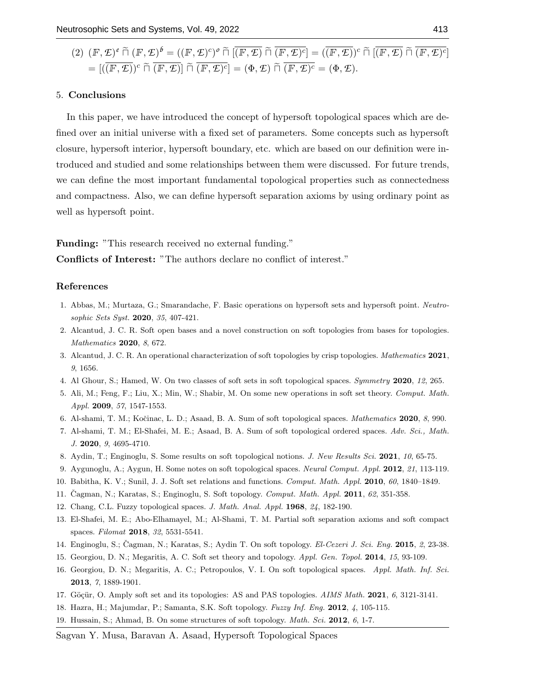$$
(2) \ (\mathbb{F}, \mathcal{L})^e \widetilde{\sqcap} (\mathbb{F}, \mathcal{L})^b = ((\mathbb{F}, \mathcal{L})^c)^e \widetilde{\sqcap} [\overline{(\mathbb{F}, \mathcal{L})} \widetilde{\sqcap} \overline{(\mathbb{F}, \mathcal{L})^c}] = (\overline{(\mathbb{F}, \mathcal{L})})^c \widetilde{\sqcap} [\overline{(\mathbb{F}, \mathcal{L})} \widetilde{\sqcap} \overline{(\mathbb{F}, \mathcal{L})^c}]
$$
  
= 
$$
[ (\overline{(\mathbb{F}, \mathcal{L})})^c \widetilde{\sqcap} (\overline{\mathbb{F}, \mathcal{L})}] \widetilde{\sqcap} (\overline{\mathbb{F}, \mathcal{L})^c}] = (\Phi, \mathcal{L}) \widetilde{\sqcap} (\overline{\mathbb{F}, \mathcal{L})^c} = (\Phi, \mathcal{L}).
$$

#### 5. Conclusions

In this paper, we have introduced the concept of hypersoft topological spaces which are defined over an initial universe with a fixed set of parameters. Some concepts such as hypersoft closure, hypersoft interior, hypersoft boundary, etc. which are based on our definition were introduced and studied and some relationships between them were discussed. For future trends, we can define the most important fundamental topological properties such as connectedness and compactness. Also, we can define hypersoft separation axioms by using ordinary point as well as hypersoft point.

Funding: "This research received no external funding."

Conflicts of Interest: "The authors declare no conflict of interest."

#### References

- 1. Abbas, M.; Murtaza, G.; Smarandache, F. Basic operations on hypersoft sets and hypersoft point. Neutrosophic Sets Syst. 2020, 35, 407-421.
- 2. Alcantud, J. C. R. Soft open bases and a novel construction on soft topologies from bases for topologies. Mathematics 2020, 8, 672.
- 3. Alcantud, J. C. R. An operational characterization of soft topologies by crisp topologies. Mathematics 2021, 9, 1656.
- 4. Al Ghour, S.; Hamed, W. On two classes of soft sets in soft topological spaces. Symmetry 2020, 12, 265.
- 5. Ali, M.; Feng, F.; Liu, X.; Min, W.; Shabir, M. On some new operations in soft set theory. Comput. Math. Appl. 2009, 57, 1547-1553.
- 6. Al-shami, T. M.; Kočinac, L. D.; Asaad, B. A. Sum of soft topological spaces. Mathematics 2020, 8, 990.
- 7. Al-shami, T. M.; El-Shafei, M. E.; Asaad, B. A. Sum of soft topological ordered spaces. Adv. Sci., Math. J. 2020, 9, 4695-4710.
- 8. Aydin, T.; Enginoglu, S. Some results on soft topological notions. J. New Results Sci. 2021, 10, 65-75.
- 9. Aygunoglu, A.; Aygun, H. Some notes on soft topological spaces. Neural Comput. Appl. 2012, 21, 113-119.
- 10. Babitha, K. V.; Sunil, J. J. Soft set relations and functions. Comput. Math. Appl. 2010, 60, 1840–1849.
- 11. Čagman, N.; Karatas, S.; Enginoglu, S. Soft topology. Comput. Math. Appl. 2011, 62, 351-358.
- 12. Chang, C.L. Fuzzy topological spaces. J. Math. Anal. Appl. 1968, 24, 182-190.
- 13. El-Shafei, M. E.; Abo-Elhamayel, M.; Al-Shami, T. M. Partial soft separation axioms and soft compact spaces. Filomat 2018, 32, 5531-5541.
- 14. Enginoglu, S.; Čagman, N.; Karatas, S.; Aydin T. On soft topology. El-Cezeri J. Sci. Eng. 2015, 2, 23-38.
- 15. Georgiou, D. N.; Megaritis, A. C. Soft set theory and topology. Appl. Gen. Topol. 2014, 15, 93-109.
- 16. Georgiou, D. N.; Megaritis, A. C.; Petropoulos, V. I. On soft topological spaces. Appl. Math. Inf. Sci. 2013, 7, 1889-1901.
- 17. Göcür, O. Amply soft set and its topologies: AS and PAS topologies. AIMS Math. 2021, 6, 3121-3141.
- 18. Hazra, H.; Majumdar, P.; Samanta, S.K. Soft topology. Fuzzy Inf. Eng. 2012, 4, 105-115.
- 19. Hussain, S.; Ahmad, B. On some structures of soft topology. Math. Sci. 2012, 6, 1-7.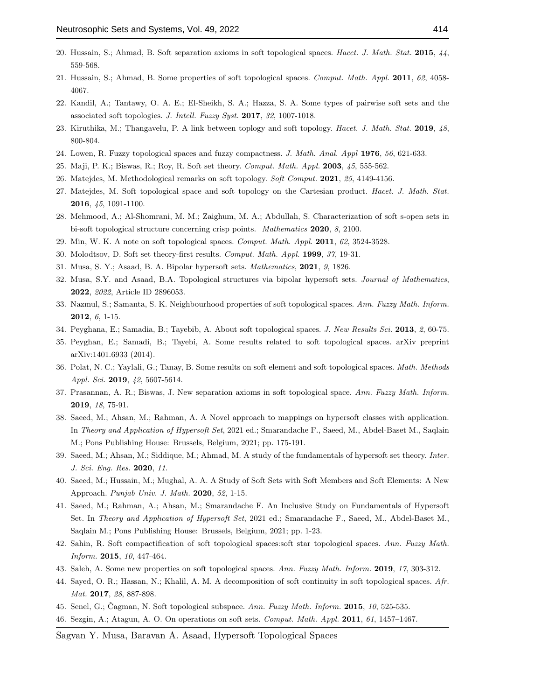- 20. Hussain, S.; Ahmad, B. Soft separation axioms in soft topological spaces. Hacet. J. Math. Stat. 2015, 44, 559-568.
- 21. Hussain, S.; Ahmad, B. Some properties of soft topological spaces. Comput. Math. Appl. 2011, 62, 4058- 4067.
- 22. Kandil, A.; Tantawy, O. A. E.; El-Sheikh, S. A.; Hazza, S. A. Some types of pairwise soft sets and the associated soft topologies. J. Intell. Fuzzy Syst. 2017, 32, 1007-1018.
- 23. Kiruthika, M.; Thangavelu, P. A link between toplogy and soft topology. Hacet. J. Math. Stat. 2019, 48, 800-804.
- 24. Lowen, R. Fuzzy topological spaces and fuzzy compactness. J. Math. Anal. Appl 1976, 56, 621-633.
- 25. Maji, P. K.; Biswas, R.; Roy, R. Soft set theory. Comput. Math. Appl. 2003, 45, 555-562.
- 26. Matejdes, M. Methodological remarks on soft topology. Soft Comput. 2021, 25, 4149-4156.
- 27. Matejdes, M. Soft topological space and soft topology on the Cartesian product. Hacet. J. Math. Stat. 2016, 45, 1091-1100.
- 28. Mehmood, A.; Al-Shomrani, M. M.; Zaighum, M. A.; Abdullah, S. Characterization of soft s-open sets in bi-soft topological structure concerning crisp points. Mathematics 2020, 8, 2100.
- 29. Min, W. K. A note on soft topological spaces. Comput. Math. Appl. 2011, 62, 3524-3528.
- 30. Molodtsov, D. Soft set theory-first results. Comput. Math. Appl. 1999, 37, 19-31.
- 31. Musa, S. Y.; Asaad, B. A. Bipolar hypersoft sets. Mathematics, 2021, 9, 1826.
- 32. Musa, S.Y. and Asaad, B.A. Topological structures via bipolar hypersoft sets. Journal of Mathematics, 2022, 2022, Article ID 2896053.
- 33. Nazmul, S.; Samanta, S. K. Neighbourhood properties of soft topological spaces. Ann. Fuzzy Math. Inform. 2012, 6, 1-15.
- 34. Peyghana, E.; Samadia, B.; Tayebib, A. About soft topological spaces. J. New Results Sci. 2013, 2, 60-75.
- 35. Peyghan, E.; Samadi, B.; Tayebi, A. Some results related to soft topological spaces. arXiv preprint arXiv:1401.6933 (2014).
- 36. Polat, N. C.; Yaylali, G.; Tanay, B. Some results on soft element and soft topological spaces. Math. Methods Appl. Sci. 2019, 42, 5607-5614.
- 37. Prasannan, A. R.; Biswas, J. New separation axioms in soft topological space. Ann. Fuzzy Math. Inform. 2019, 18, 75-91.
- 38. Saeed, M.; Ahsan, M.; Rahman, A. A Novel approach to mappings on hypersoft classes with application. In Theory and Application of Hypersoft Set, 2021 ed.; Smarandache F., Saeed, M., Abdel-Baset M., Saqlain M.; Pons Publishing House: Brussels, Belgium, 2021; pp. 175-191.
- 39. Saeed, M.; Ahsan, M.; Siddique, M.; Ahmad, M. A study of the fundamentals of hypersoft set theory. Inter. J. Sci. Eng. Res. 2020, 11.
- 40. Saeed, M.; Hussain, M.; Mughal, A. A. A Study of Soft Sets with Soft Members and Soft Elements: A New Approach. Punjab Univ. J. Math. 2020, 52, 1-15.
- 41. Saeed, M.; Rahman, A.; Ahsan, M.; Smarandache F. An Inclusive Study on Fundamentals of Hypersoft Set. In Theory and Application of Hypersoft Set, 2021 ed.; Smarandache F., Saeed, M., Abdel-Baset M., Saqlain M.; Pons Publishing House: Brussels, Belgium, 2021; pp. 1-23.
- 42. Sahin, R. Soft compactification of soft topological spaces:soft star topological spaces. Ann. Fuzzy Math. Inform. 2015, 10, 447-464.
- 43. Saleh, A. Some new properties on soft topological spaces. Ann. Fuzzy Math. Inform. 2019, 17, 303-312.
- 44. Sayed, O. R.; Hassan, N.; Khalil, A. M. A decomposition of soft continuity in soft topological spaces. Afr. Mat. 2017, 28, 887-898.
- 45. Senel, G.; Čagman, N. Soft topological subspace. Ann. Fuzzy Math. Inform. 2015, 10, 525-535.
- 46. Sezgin, A.; Atagun, A. O. On operations on soft sets. Comput. Math. Appl. 2011, 61, 1457–1467.